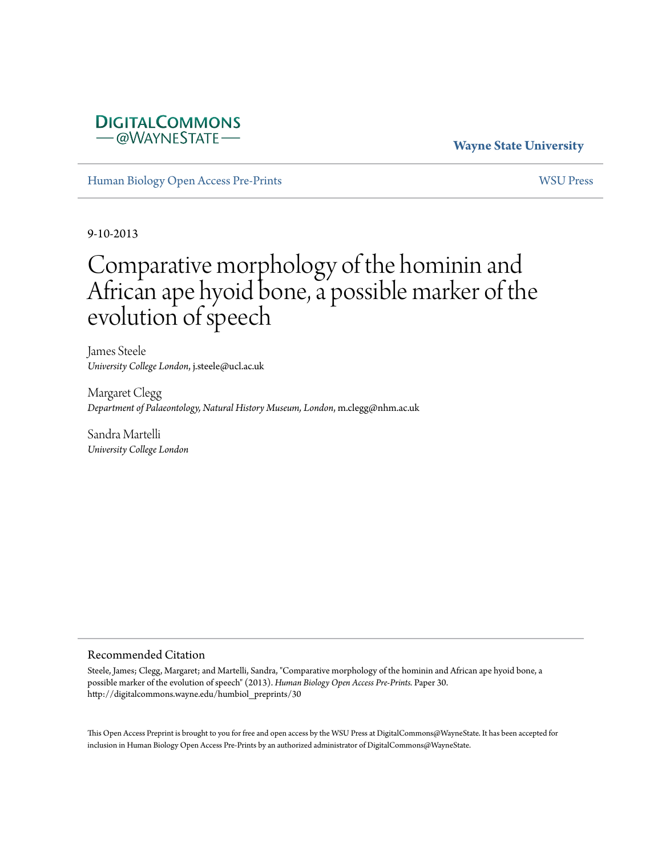## **DIGITALCOMMONS** -@WAYNESTATE-

### **Wayne State University**

[Human Biology Open Access Pre-Prints](http://digitalcommons.wayne.edu/humbiol_preprints) [WSU Press](http://digitalcommons.wayne.edu/wsupress)

9-10-2013

# Comparative morphology of the hominin and African ape hyoid bone, a possible marker of the evolution of speech

James Steele *University College London*, j.steele@ucl.ac.uk

Margaret Clegg *Department of Palaeontology, Natural History Museum, London*, m.clegg@nhm.ac.uk

Sandra Martelli *University College London*

#### Recommended Citation

Steele, James; Clegg, Margaret; and Martelli, Sandra, "Comparative morphology of the hominin and African ape hyoid bone, a possible marker of the evolution of speech" (2013). *Human Biology Open Access Pre-Prints.* Paper 30. http://digitalcommons.wayne.edu/humbiol\_preprints/30

This Open Access Preprint is brought to you for free and open access by the WSU Press at DigitalCommons@WayneState. It has been accepted for inclusion in Human Biology Open Access Pre-Prints by an authorized administrator of DigitalCommons@WayneState.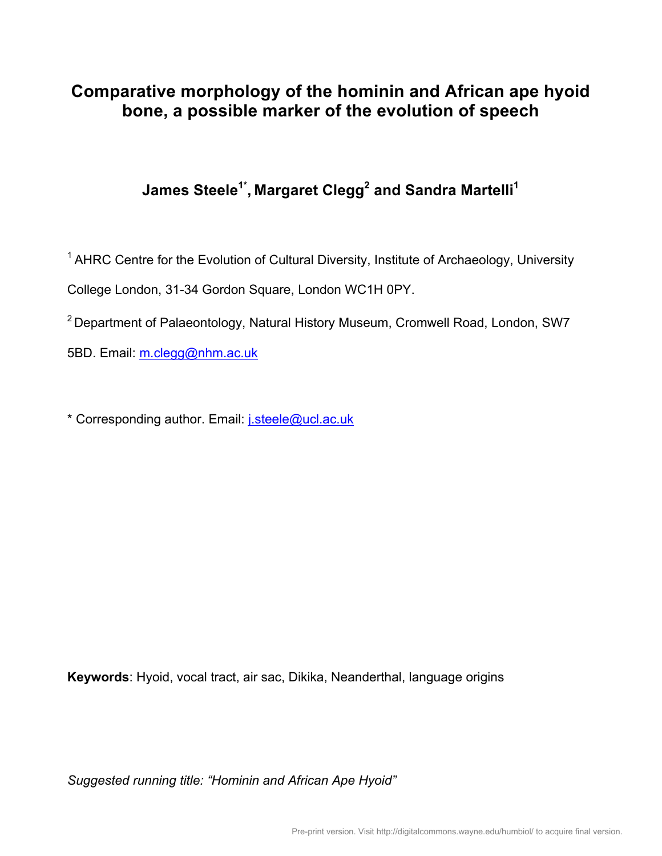# **Comparative morphology of the hominin and African ape hyoid bone, a possible marker of the evolution of speech**

# **James Steele1\*, Margaret Clegg<sup>2</sup> and Sandra Martelli<sup>1</sup>**

<sup>1</sup> AHRC Centre for the Evolution of Cultural Diversity, Institute of Archaeology, University College London, 31-34 Gordon Square, London WC1H 0PY.

<sup>2</sup> Department of Palaeontology, Natural History Museum, Cromwell Road, London, SW7

5BD. Email: m.clegg@nhm.ac.uk

\* Corresponding author. Email: j.steele@ucl.ac.uk

**Keywords**: Hyoid, vocal tract, air sac, Dikika, Neanderthal, language origins

 $\sim$ 

*Suggested running title: "Hominin and African Ape Hyoid"*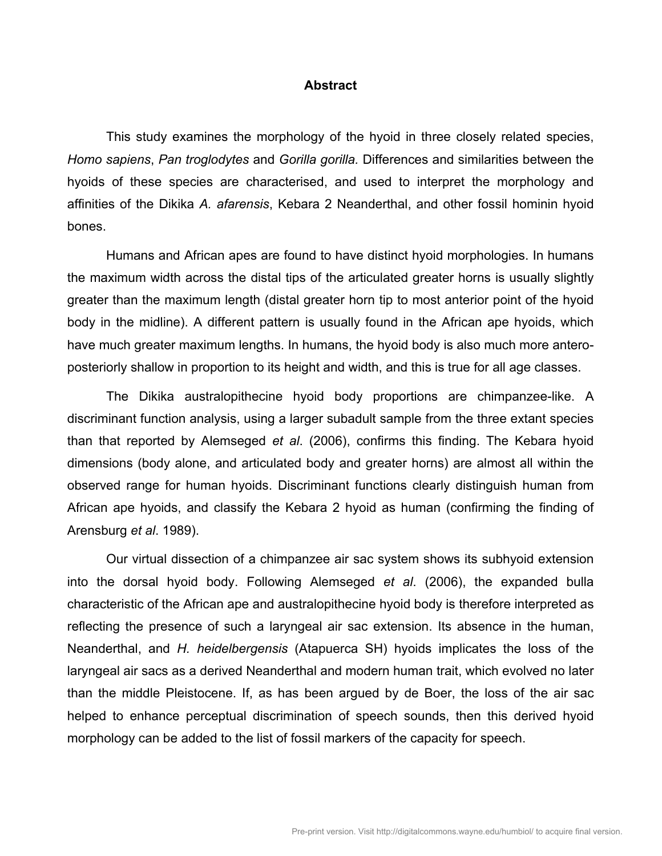#### **Abstract**

This study examines the morphology of the hyoid in three closely related species, *Homo sapiens*, *Pan troglodytes* and *Gorilla gorilla.* Differences and similarities between the hyoids of these species are characterised, and used to interpret the morphology and affinities of the Dikika *A. afarensis*, Kebara 2 Neanderthal, and other fossil hominin hyoid bones.

Humans and African apes are found to have distinct hyoid morphologies. In humans the maximum width across the distal tips of the articulated greater horns is usually slightly greater than the maximum length (distal greater horn tip to most anterior point of the hyoid body in the midline). A different pattern is usually found in the African ape hyoids, which have much greater maximum lengths. In humans, the hyoid body is also much more anteroposteriorly shallow in proportion to its height and width, and this is true for all age classes.

The Dikika australopithecine hyoid body proportions are chimpanzee-like. A discriminant function analysis, using a larger subadult sample from the three extant species than that reported by Alemseged *et al*. (2006), confirms this finding. The Kebara hyoid dimensions (body alone, and articulated body and greater horns) are almost all within the observed range for human hyoids. Discriminant functions clearly distinguish human from African ape hyoids, and classify the Kebara 2 hyoid as human (confirming the finding of Arensburg *et al*. 1989).

Our virtual dissection of a chimpanzee air sac system shows its subhyoid extension into the dorsal hyoid body. Following Alemseged *et al*. (2006), the expanded bulla characteristic of the African ape and australopithecine hyoid body is therefore interpreted as reflecting the presence of such a laryngeal air sac extension. Its absence in the human, Neanderthal, and *H. heidelbergensis* (Atapuerca SH) hyoids implicates the loss of the laryngeal air sacs as a derived Neanderthal and modern human trait, which evolved no later than the middle Pleistocene. If, as has been argued by de Boer, the loss of the air sac helped to enhance perceptual discrimination of speech sounds, then this derived hyoid morphology can be added to the list of fossil markers of the capacity for speech.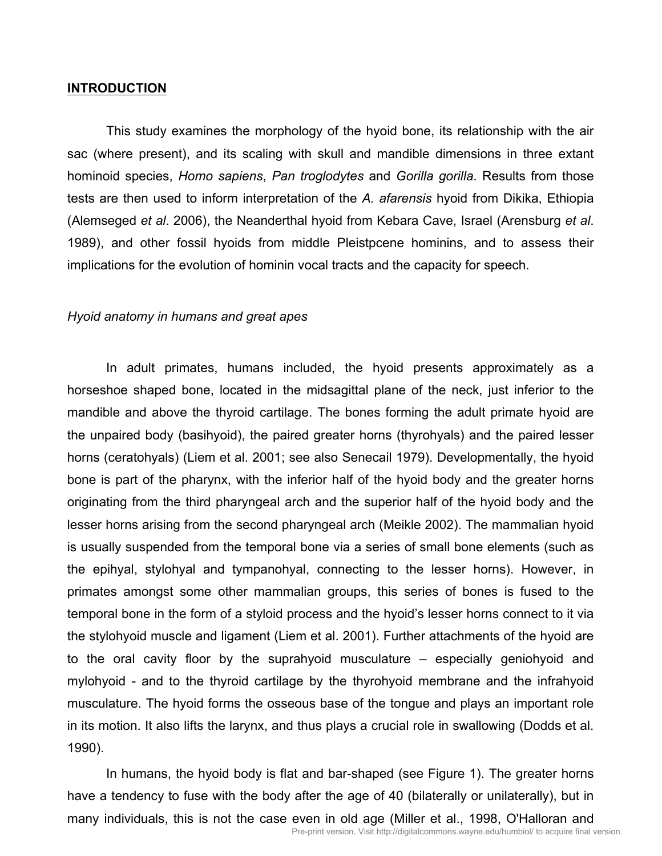#### **INTRODUCTION**

This study examines the morphology of the hyoid bone, its relationship with the air sac (where present), and its scaling with skull and mandible dimensions in three extant hominoid species, *Homo sapiens*, *Pan troglodytes* and *Gorilla gorilla*. Results from those tests are then used to inform interpretation of the *A. afarensis* hyoid from Dikika, Ethiopia (Alemseged *et al*. 2006), the Neanderthal hyoid from Kebara Cave, Israel (Arensburg *et al*. 1989), and other fossil hyoids from middle Pleistpcene hominins, and to assess their implications for the evolution of hominin vocal tracts and the capacity for speech.

#### *Hyoid anatomy in humans and great apes*

In adult primates, humans included, the hyoid presents approximately as a horseshoe shaped bone, located in the midsagittal plane of the neck, just inferior to the mandible and above the thyroid cartilage. The bones forming the adult primate hyoid are the unpaired body (basihyoid), the paired greater horns (thyrohyals) and the paired lesser horns (ceratohyals) (Liem et al. 2001; see also Senecail 1979). Developmentally, the hyoid bone is part of the pharynx, with the inferior half of the hyoid body and the greater horns originating from the third pharyngeal arch and the superior half of the hyoid body and the lesser horns arising from the second pharyngeal arch (Meikle 2002). The mammalian hyoid is usually suspended from the temporal bone via a series of small bone elements (such as the epihyal, stylohyal and tympanohyal, connecting to the lesser horns). However, in primates amongst some other mammalian groups, this series of bones is fused to the temporal bone in the form of a styloid process and the hyoid's lesser horns connect to it via the stylohyoid muscle and ligament (Liem et al. 2001). Further attachments of the hyoid are to the oral cavity floor by the suprahyoid musculature – especially geniohyoid and mylohyoid - and to the thyroid cartilage by the thyrohyoid membrane and the infrahyoid musculature. The hyoid forms the osseous base of the tongue and plays an important role in its motion. It also lifts the larynx, and thus plays a crucial role in swallowing (Dodds et al. 1990).

In humans, the hyoid body is flat and bar-shaped (see Figure 1). The greater horns have a tendency to fuse with the body after the age of 40 (bilaterally or unilaterally), but in many individuals, this is not the case even in old age (Miller et al., 1998, O'Halloran and

Pre-print version. Visit http://digitalcommons.wayne.edu/humbiol/ to acquire final version.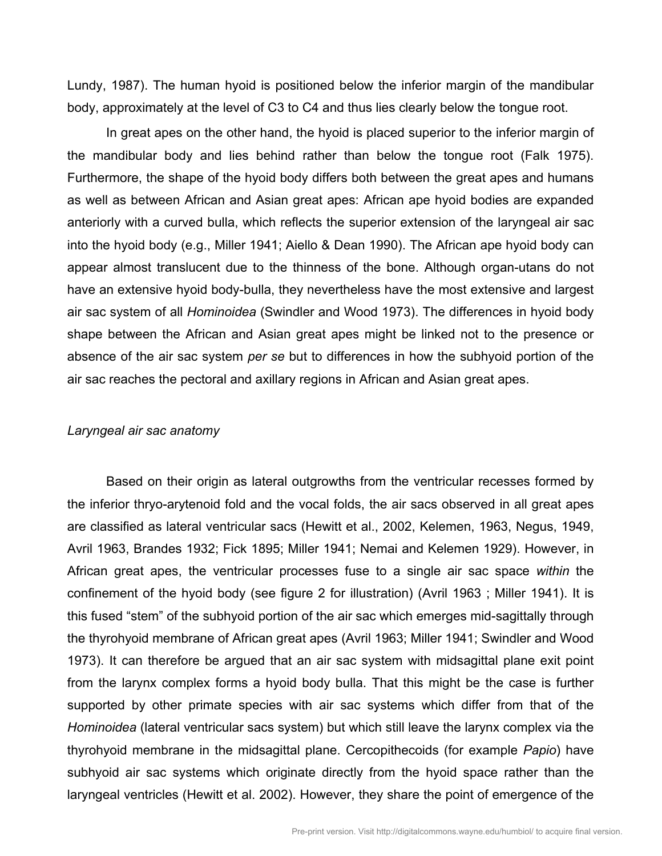Lundy, 1987). The human hyoid is positioned below the inferior margin of the mandibular body, approximately at the level of C3 to C4 and thus lies clearly below the tongue root.

In great apes on the other hand, the hyoid is placed superior to the inferior margin of the mandibular body and lies behind rather than below the tongue root (Falk 1975). Furthermore, the shape of the hyoid body differs both between the great apes and humans as well as between African and Asian great apes: African ape hyoid bodies are expanded anteriorly with a curved bulla, which reflects the superior extension of the laryngeal air sac into the hyoid body (e.g., Miller 1941; Aiello & Dean 1990). The African ape hyoid body can appear almost translucent due to the thinness of the bone. Although organ-utans do not have an extensive hyoid body-bulla, they nevertheless have the most extensive and largest air sac system of all *Hominoidea* (Swindler and Wood 1973). The differences in hyoid body shape between the African and Asian great apes might be linked not to the presence or absence of the air sac system *per se* but to differences in how the subhyoid portion of the air sac reaches the pectoral and axillary regions in African and Asian great apes.

#### *Laryngeal air sac anatomy*

Based on their origin as lateral outgrowths from the ventricular recesses formed by the inferior thryo-arytenoid fold and the vocal folds, the air sacs observed in all great apes are classified as lateral ventricular sacs (Hewitt et al., 2002, Kelemen, 1963, Negus, 1949, Avril 1963, Brandes 1932; Fick 1895; Miller 1941; Nemai and Kelemen 1929). However, in African great apes, the ventricular processes fuse to a single air sac space *within* the confinement of the hyoid body (see figure 2 for illustration) (Avril 1963 ; Miller 1941). It is this fused "stem" of the subhyoid portion of the air sac which emerges mid-sagittally through the thyrohyoid membrane of African great apes (Avril 1963; Miller 1941; Swindler and Wood 1973). It can therefore be argued that an air sac system with midsagittal plane exit point from the larynx complex forms a hyoid body bulla. That this might be the case is further supported by other primate species with air sac systems which differ from that of the *Hominoidea* (lateral ventricular sacs system) but which still leave the larynx complex via the thyrohyoid membrane in the midsagittal plane. Cercopithecoids (for example *Papio*) have subhyoid air sac systems which originate directly from the hyoid space rather than the laryngeal ventricles (Hewitt et al. 2002). However, they share the point of emergence of the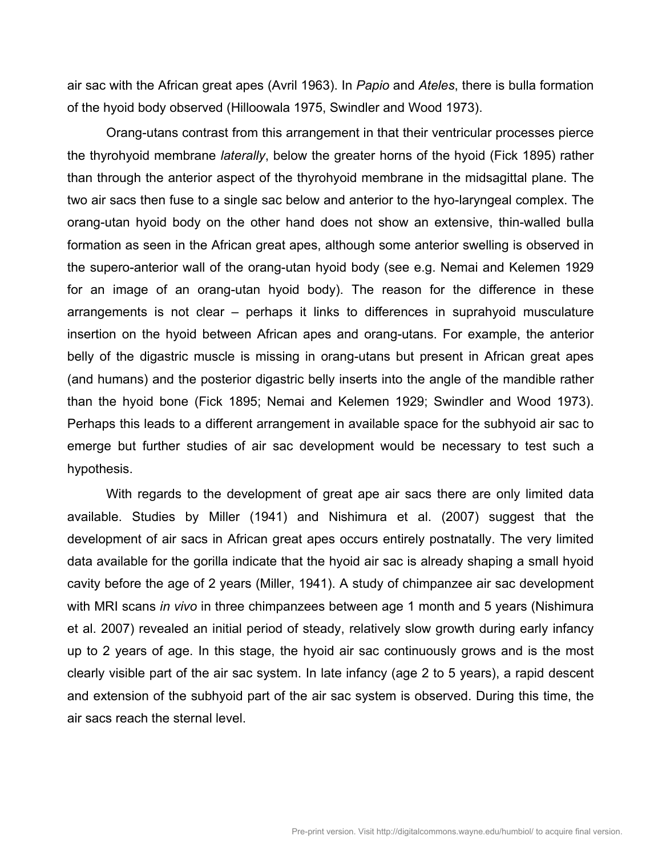air sac with the African great apes (Avril 1963). In *Papio* and *Ateles*, there is bulla formation of the hyoid body observed (Hilloowala 1975, Swindler and Wood 1973).

Orang-utans contrast from this arrangement in that their ventricular processes pierce the thyrohyoid membrane *laterally*, below the greater horns of the hyoid (Fick 1895) rather than through the anterior aspect of the thyrohyoid membrane in the midsagittal plane. The two air sacs then fuse to a single sac below and anterior to the hyo-laryngeal complex. The orang-utan hyoid body on the other hand does not show an extensive, thin-walled bulla formation as seen in the African great apes, although some anterior swelling is observed in the supero-anterior wall of the orang-utan hyoid body (see e.g. Nemai and Kelemen 1929 for an image of an orang-utan hyoid body). The reason for the difference in these arrangements is not clear – perhaps it links to differences in suprahyoid musculature insertion on the hyoid between African apes and orang-utans. For example, the anterior belly of the digastric muscle is missing in orang-utans but present in African great apes (and humans) and the posterior digastric belly inserts into the angle of the mandible rather than the hyoid bone (Fick 1895; Nemai and Kelemen 1929; Swindler and Wood 1973). Perhaps this leads to a different arrangement in available space for the subhyoid air sac to emerge but further studies of air sac development would be necessary to test such a hypothesis.

With regards to the development of great ape air sacs there are only limited data available. Studies by Miller (1941) and Nishimura et al. (2007) suggest that the development of air sacs in African great apes occurs entirely postnatally. The very limited data available for the gorilla indicate that the hyoid air sac is already shaping a small hyoid cavity before the age of 2 years (Miller, 1941). A study of chimpanzee air sac development with MRI scans *in vivo* in three chimpanzees between age 1 month and 5 years (Nishimura et al. 2007) revealed an initial period of steady, relatively slow growth during early infancy up to 2 years of age. In this stage, the hyoid air sac continuously grows and is the most clearly visible part of the air sac system. In late infancy (age 2 to 5 years), a rapid descent and extension of the subhyoid part of the air sac system is observed. During this time, the air sacs reach the sternal level.

 $\overline{\phantom{0}}$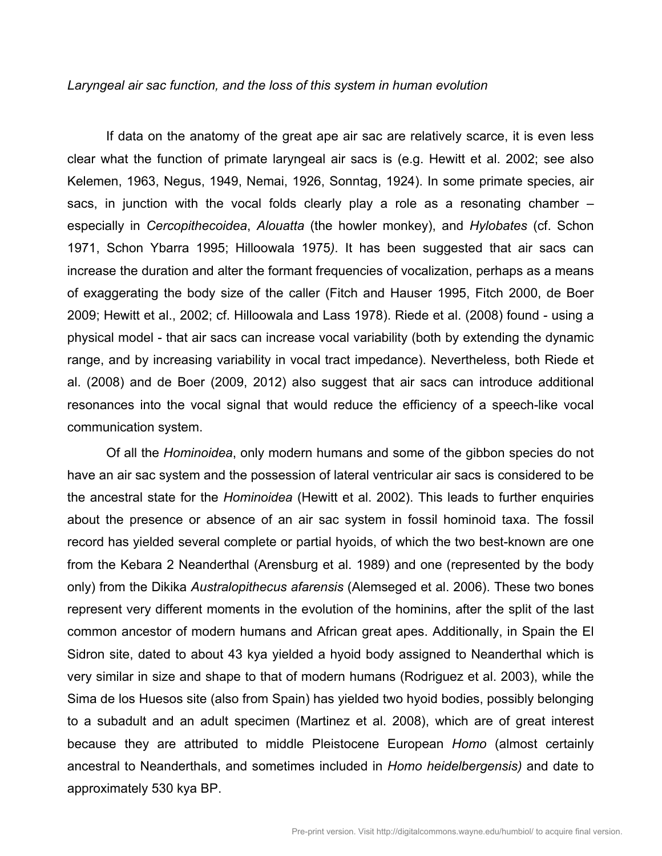#### *Laryngeal air sac function, and the loss of this system in human evolution*

If data on the anatomy of the great ape air sac are relatively scarce, it is even less clear what the function of primate laryngeal air sacs is (e.g. Hewitt et al. 2002; see also Kelemen, 1963, Negus, 1949, Nemai, 1926, Sonntag, 1924). In some primate species, air sacs, in junction with the vocal folds clearly play a role as a resonating chamber – especially in *Cercopithecoidea*, *Alouatta* (the howler monkey), and *Hylobates* (cf. Schon 1971, Schon Ybarra 1995; Hilloowala 1975*)*. It has been suggested that air sacs can increase the duration and alter the formant frequencies of vocalization, perhaps as a means of exaggerating the body size of the caller (Fitch and Hauser 1995, Fitch 2000, de Boer 2009; Hewitt et al., 2002; cf. Hilloowala and Lass 1978). Riede et al. (2008) found - using a physical model - that air sacs can increase vocal variability (both by extending the dynamic range, and by increasing variability in vocal tract impedance). Nevertheless, both Riede et al. (2008) and de Boer (2009, 2012) also suggest that air sacs can introduce additional resonances into the vocal signal that would reduce the efficiency of a speech-like vocal communication system.

Of all the *Hominoidea*, only modern humans and some of the gibbon species do not have an air sac system and the possession of lateral ventricular air sacs is considered to be the ancestral state for the *Hominoidea* (Hewitt et al. 2002). This leads to further enquiries about the presence or absence of an air sac system in fossil hominoid taxa. The fossil record has yielded several complete or partial hyoids, of which the two best-known are one from the Kebara 2 Neanderthal (Arensburg et al. 1989) and one (represented by the body only) from the Dikika *Australopithecus afarensis* (Alemseged et al. 2006). These two bones represent very different moments in the evolution of the hominins, after the split of the last common ancestor of modern humans and African great apes. Additionally, in Spain the El Sidron site, dated to about 43 kya yielded a hyoid body assigned to Neanderthal which is very similar in size and shape to that of modern humans (Rodriguez et al. 2003), while the Sima de los Huesos site (also from Spain) has yielded two hyoid bodies, possibly belonging to a subadult and an adult specimen (Martinez et al. 2008), which are of great interest because they are attributed to middle Pleistocene European *Homo* (almost certainly ancestral to Neanderthals, and sometimes included in *Homo heidelbergensis)* and date to approximately 530 kya BP.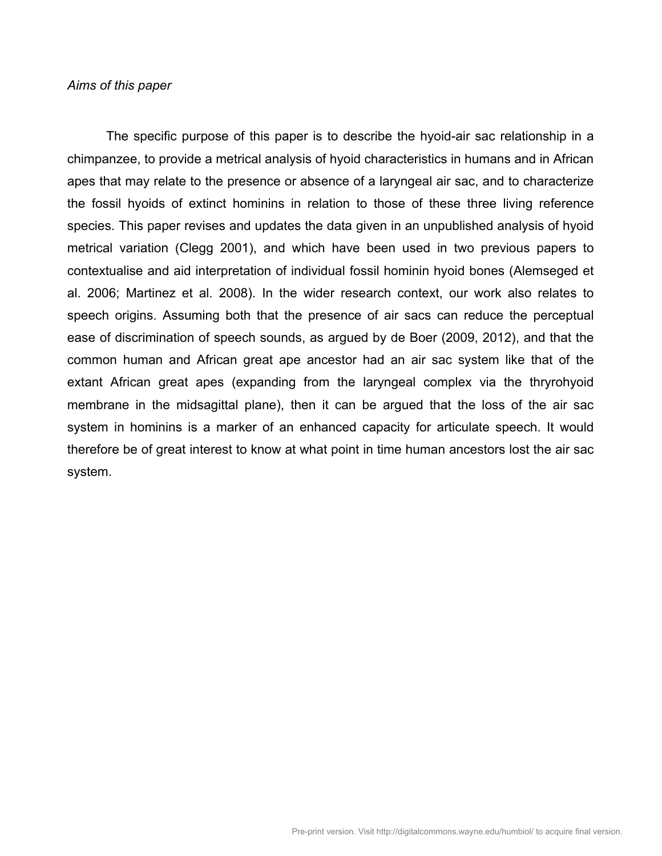#### *Aims of this paper*

The specific purpose of this paper is to describe the hyoid-air sac relationship in a chimpanzee, to provide a metrical analysis of hyoid characteristics in humans and in African apes that may relate to the presence or absence of a laryngeal air sac, and to characterize the fossil hyoids of extinct hominins in relation to those of these three living reference species. This paper revises and updates the data given in an unpublished analysis of hyoid metrical variation (Clegg 2001), and which have been used in two previous papers to contextualise and aid interpretation of individual fossil hominin hyoid bones (Alemseged et al. 2006; Martinez et al. 2008). In the wider research context, our work also relates to speech origins. Assuming both that the presence of air sacs can reduce the perceptual ease of discrimination of speech sounds, as argued by de Boer (2009, 2012), and that the common human and African great ape ancestor had an air sac system like that of the extant African great apes (expanding from the laryngeal complex via the thryrohyoid membrane in the midsagittal plane), then it can be argued that the loss of the air sac system in hominins is a marker of an enhanced capacity for articulate speech. It would therefore be of great interest to know at what point in time human ancestors lost the air sac system.

 $\overline{\phantom{a}}$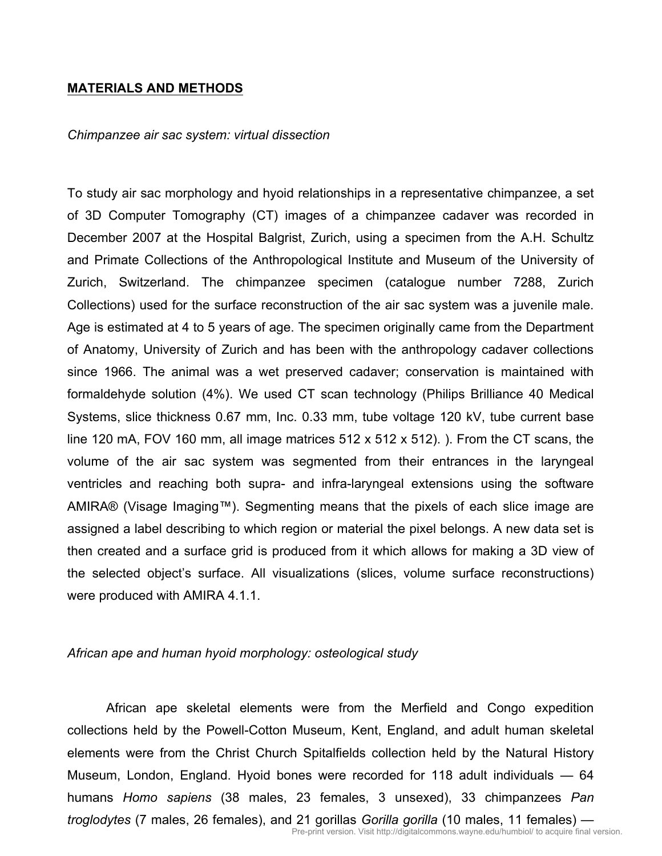#### **MATERIALS AND METHODS**

#### *Chimpanzee air sac system: virtual dissection*

To study air sac morphology and hyoid relationships in a representative chimpanzee, a set of 3D Computer Tomography (CT) images of a chimpanzee cadaver was recorded in December 2007 at the Hospital Balgrist, Zurich, using a specimen from the A.H. Schultz and Primate Collections of the Anthropological Institute and Museum of the University of Zurich, Switzerland. The chimpanzee specimen (catalogue number 7288, Zurich Collections) used for the surface reconstruction of the air sac system was a juvenile male. Age is estimated at 4 to 5 years of age. The specimen originally came from the Department of Anatomy, University of Zurich and has been with the anthropology cadaver collections since 1966. The animal was a wet preserved cadaver; conservation is maintained with formaldehyde solution (4%). We used CT scan technology (Philips Brilliance 40 Medical Systems, slice thickness 0.67 mm, Inc. 0.33 mm, tube voltage 120 kV, tube current base line 120 mA, FOV 160 mm, all image matrices 512 x 512 x 512). ). From the CT scans, the volume of the air sac system was segmented from their entrances in the laryngeal ventricles and reaching both supra- and infra-laryngeal extensions using the software AMIRA® (Visage Imaging™). Segmenting means that the pixels of each slice image are assigned a label describing to which region or material the pixel belongs. A new data set is then created and a surface grid is produced from it which allows for making a 3D view of the selected object's surface. All visualizations (slices, volume surface reconstructions) were produced with AMIRA 4.1.1.

#### *African ape and human hyoid morphology: osteological study*

African ape skeletal elements were from the Merfield and Congo expedition collections held by the Powell-Cotton Museum, Kent, England, and adult human skeletal elements were from the Christ Church Spitalfields collection held by the Natural History Museum, London, England. Hyoid bones were recorded for 118 adult individuals — 64 humans *Homo sapiens* (38 males, 23 females, 3 unsexed), 33 chimpanzees *Pan troglodytes* (7 males, 26 females), and 21 gorillas *Gorilla gorilla* (10 males, 11 females) — Pre-print version. Visit http://digitalcommons.wayne.edu/humbiol/ to acquire final version.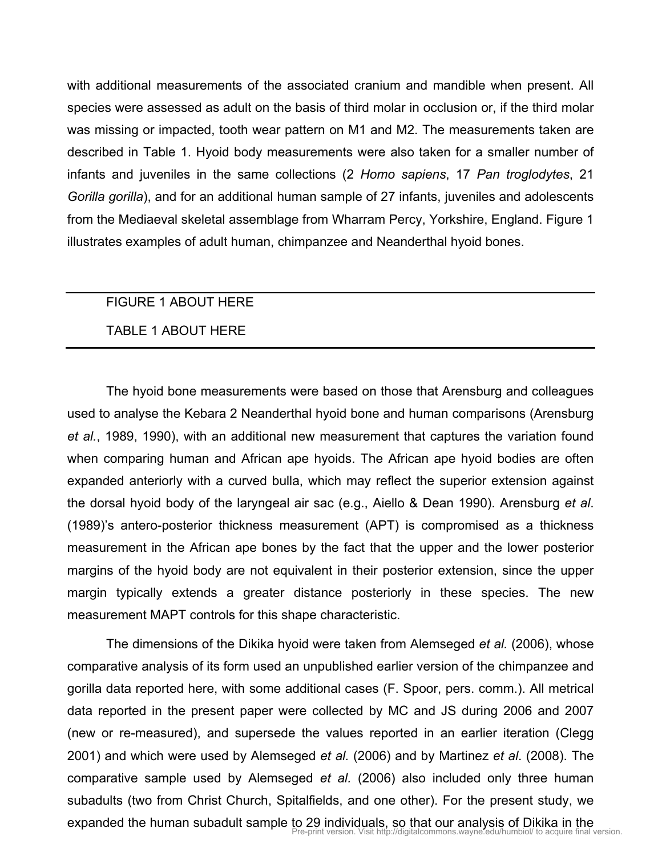with additional measurements of the associated cranium and mandible when present. All species were assessed as adult on the basis of third molar in occlusion or, if the third molar was missing or impacted, tooth wear pattern on M1 and M2. The measurements taken are described in Table 1. Hyoid body measurements were also taken for a smaller number of infants and juveniles in the same collections (2 *Homo sapiens*, 17 *Pan troglodytes*, 21 *Gorilla gorilla*), and for an additional human sample of 27 infants, juveniles and adolescents from the Mediaeval skeletal assemblage from Wharram Percy, Yorkshire, England. Figure 1 illustrates examples of adult human, chimpanzee and Neanderthal hyoid bones.

#### FIGURE 1 ABOUT HERE

#### TABLE 1 ABOUT HERE

The hyoid bone measurements were based on those that Arensburg and colleagues used to analyse the Kebara 2 Neanderthal hyoid bone and human comparisons (Arensburg *et al.*, 1989, 1990), with an additional new measurement that captures the variation found when comparing human and African ape hyoids. The African ape hyoid bodies are often expanded anteriorly with a curved bulla, which may reflect the superior extension against the dorsal hyoid body of the laryngeal air sac (e.g., Aiello & Dean 1990). Arensburg *et al*. (1989)'s antero-posterior thickness measurement (APT) is compromised as a thickness measurement in the African ape bones by the fact that the upper and the lower posterior margins of the hyoid body are not equivalent in their posterior extension, since the upper margin typically extends a greater distance posteriorly in these species. The new measurement MAPT controls for this shape characteristic.

The dimensions of the Dikika hyoid were taken from Alemseged *et al.* (2006), whose comparative analysis of its form used an unpublished earlier version of the chimpanzee and gorilla data reported here, with some additional cases (F. Spoor, pers. comm.). All metrical data reported in the present paper were collected by MC and JS during 2006 and 2007 (new or re-measured), and supersede the values reported in an earlier iteration (Clegg 2001) and which were used by Alemseged *et al.* (2006) and by Martinez *et al*. (2008). The comparative sample used by Alemseged *et al.* (2006) also included only three human subadults (two from Christ Church, Spitalfields, and one other). For the present study, we expanded the human subadult sample to 29 individuals, so that our analysis of Dikika in the<br>Pre-print version. Visit http://digitalcommons.wayne.edu/humbiol/ to acquire final version.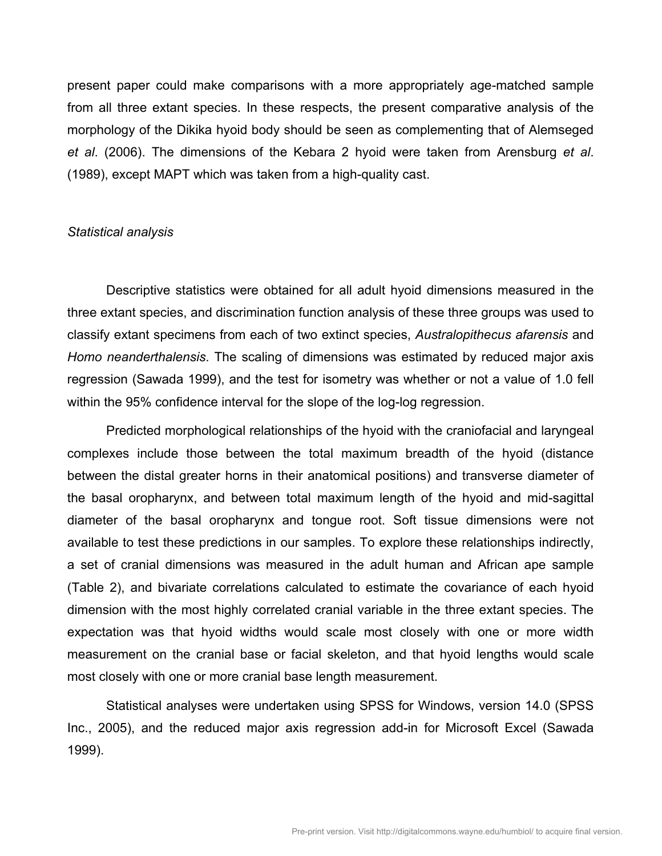present paper could make comparisons with a more appropriately age-matched sample from all three extant species. In these respects, the present comparative analysis of the morphology of the Dikika hyoid body should be seen as complementing that of Alemseged *et al*. (2006). The dimensions of the Kebara 2 hyoid were taken from Arensburg *et al*. (1989), except MAPT which was taken from a high-quality cast.

#### *Statistical analysis*

Descriptive statistics were obtained for all adult hyoid dimensions measured in the three extant species, and discrimination function analysis of these three groups was used to classify extant specimens from each of two extinct species, *Australopithecus afarensis* and *Homo neanderthalensis*. The scaling of dimensions was estimated by reduced major axis regression (Sawada 1999), and the test for isometry was whether or not a value of 1.0 fell within the 95% confidence interval for the slope of the log-log regression.

Predicted morphological relationships of the hyoid with the craniofacial and laryngeal complexes include those between the total maximum breadth of the hyoid (distance between the distal greater horns in their anatomical positions) and transverse diameter of the basal oropharynx, and between total maximum length of the hyoid and mid-sagittal diameter of the basal oropharynx and tongue root. Soft tissue dimensions were not available to test these predictions in our samples. To explore these relationships indirectly, a set of cranial dimensions was measured in the adult human and African ape sample (Table 2), and bivariate correlations calculated to estimate the covariance of each hyoid dimension with the most highly correlated cranial variable in the three extant species. The expectation was that hyoid widths would scale most closely with one or more width measurement on the cranial base or facial skeleton, and that hyoid lengths would scale most closely with one or more cranial base length measurement.

Statistical analyses were undertaken using SPSS for Windows, version 14.0 (SPSS Inc., 2005), and the reduced major axis regression add-in for Microsoft Excel (Sawada 1999).

 $\overline{10}$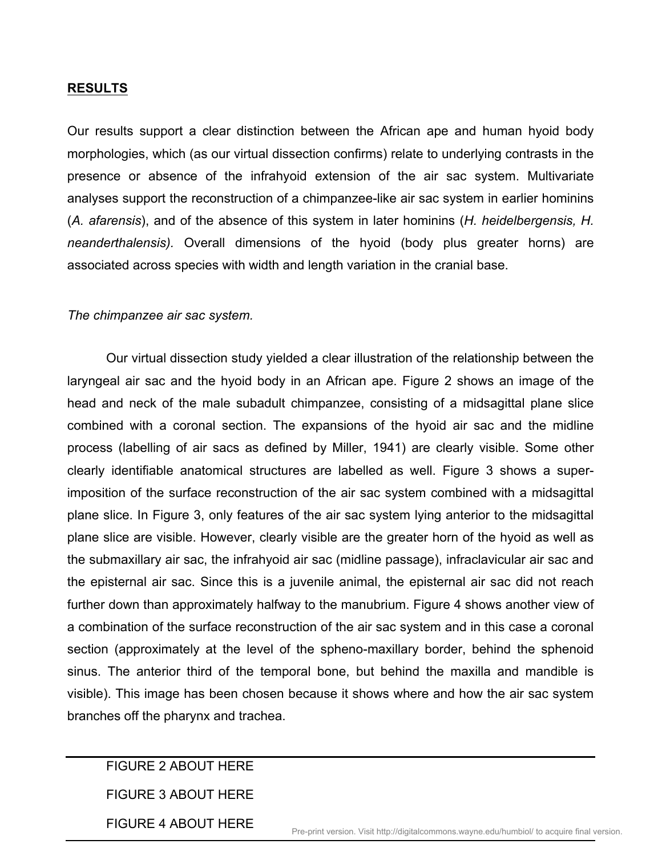#### **RESULTS**

Our results support a clear distinction between the African ape and human hyoid body morphologies, which (as our virtual dissection confirms) relate to underlying contrasts in the presence or absence of the infrahyoid extension of the air sac system. Multivariate analyses support the reconstruction of a chimpanzee-like air sac system in earlier hominins (*A. afarensis*), and of the absence of this system in later hominins (*H. heidelbergensis, H. neanderthalensis).* Overall dimensions of the hyoid (body plus greater horns) are associated across species with width and length variation in the cranial base.

#### *The chimpanzee air sac system.*

Our virtual dissection study yielded a clear illustration of the relationship between the laryngeal air sac and the hyoid body in an African ape. Figure 2 shows an image of the head and neck of the male subadult chimpanzee, consisting of a midsagittal plane slice combined with a coronal section. The expansions of the hyoid air sac and the midline process (labelling of air sacs as defined by Miller, 1941) are clearly visible. Some other clearly identifiable anatomical structures are labelled as well. Figure 3 shows a superimposition of the surface reconstruction of the air sac system combined with a midsagittal plane slice. In Figure 3, only features of the air sac system lying anterior to the midsagittal plane slice are visible. However, clearly visible are the greater horn of the hyoid as well as the submaxillary air sac, the infrahyoid air sac (midline passage), infraclavicular air sac and the episternal air sac. Since this is a juvenile animal, the episternal air sac did not reach further down than approximately halfway to the manubrium. Figure 4 shows another view of a combination of the surface reconstruction of the air sac system and in this case a coronal section (approximately at the level of the spheno-maxillary border, behind the sphenoid sinus. The anterior third of the temporal bone, but behind the maxilla and mandible is visible). This image has been chosen because it shows where and how the air sac system branches off the pharynx and trachea.

-11

#### FIGURE 2 ABOUT HERE

FIGURE 3 ABOUT HERE

FIGURE 4 ABOUT HERE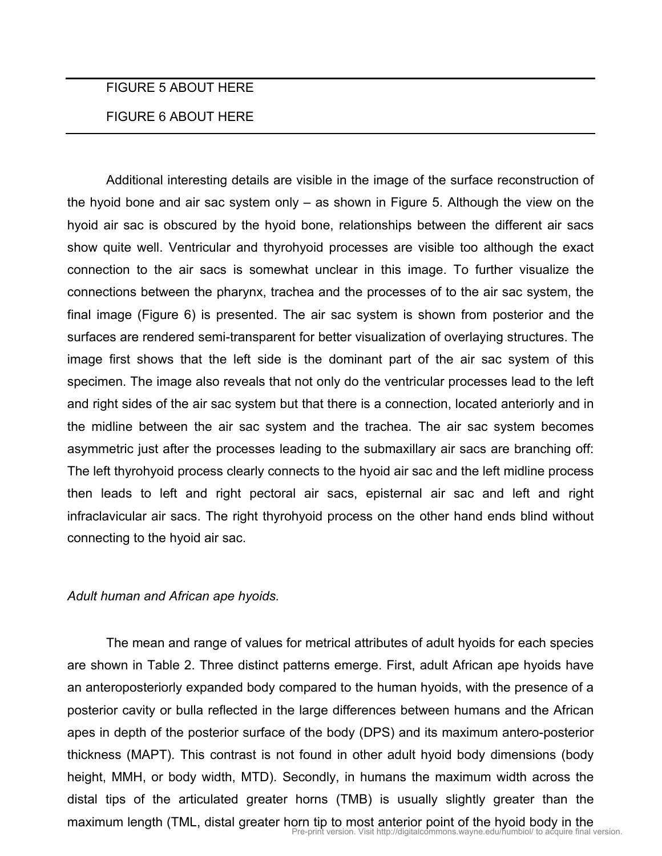# FIGURE 5 ABOUT HERE FIGURE 6 ABOUT HERE

Additional interesting details are visible in the image of the surface reconstruction of the hyoid bone and air sac system only – as shown in Figure 5. Although the view on the hyoid air sac is obscured by the hyoid bone, relationships between the different air sacs show quite well. Ventricular and thyrohyoid processes are visible too although the exact connection to the air sacs is somewhat unclear in this image. To further visualize the connections between the pharynx, trachea and the processes of to the air sac system, the final image (Figure 6) is presented. The air sac system is shown from posterior and the surfaces are rendered semi-transparent for better visualization of overlaying structures. The image first shows that the left side is the dominant part of the air sac system of this specimen. The image also reveals that not only do the ventricular processes lead to the left and right sides of the air sac system but that there is a connection, located anteriorly and in the midline between the air sac system and the trachea. The air sac system becomes asymmetric just after the processes leading to the submaxillary air sacs are branching off: The left thyrohyoid process clearly connects to the hyoid air sac and the left midline process then leads to left and right pectoral air sacs, episternal air sac and left and right infraclavicular air sacs. The right thyrohyoid process on the other hand ends blind without connecting to the hyoid air sac.

#### *Adult human and African ape hyoids.*

The mean and range of values for metrical attributes of adult hyoids for each species are shown in Table 2. Three distinct patterns emerge. First, adult African ape hyoids have an anteroposteriorly expanded body compared to the human hyoids, with the presence of a posterior cavity or bulla reflected in the large differences between humans and the African apes in depth of the posterior surface of the body (DPS) and its maximum antero-posterior thickness (MAPT). This contrast is not found in other adult hyoid body dimensions (body height, MMH, or body width, MTD). Secondly, in humans the maximum width across the distal tips of the articulated greater horns (TMB) is usually slightly greater than the maximum length (TML, distal greater horn tip to most anterior point of the hyoid body in the<br>Pre-print version. Visit http://digitalcommons.wayne.edu/humbiol/ to acquire final version.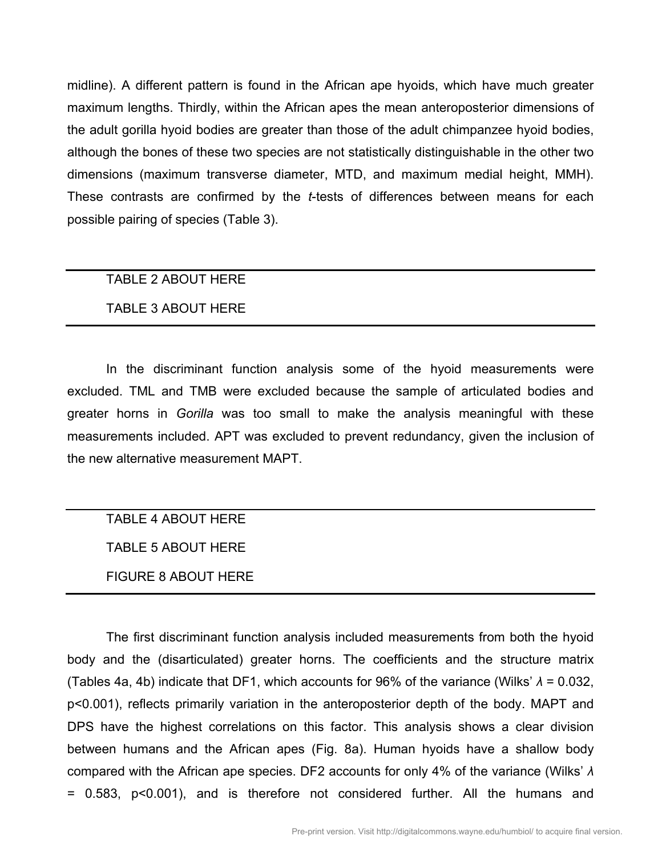midline). A different pattern is found in the African ape hyoids, which have much greater maximum lengths. Thirdly, within the African apes the mean anteroposterior dimensions of the adult gorilla hyoid bodies are greater than those of the adult chimpanzee hyoid bodies, although the bones of these two species are not statistically distinguishable in the other two dimensions (maximum transverse diameter, MTD, and maximum medial height, MMH). These contrasts are confirmed by the *t*-tests of differences between means for each possible pairing of species (Table 3).

#### TABLE 2 ABOUT HERE

#### TABLE 3 ABOUT HERE

In the discriminant function analysis some of the hyoid measurements were excluded. TML and TMB were excluded because the sample of articulated bodies and greater horns in *Gorilla* was too small to make the analysis meaningful with these measurements included. APT was excluded to prevent redundancy, given the inclusion of the new alternative measurement MAPT.

### TABLE 4 ABOUT HERE

TABLE 5 ABOUT HERE

FIGURE 8 ABOUT HERE

The first discriminant function analysis included measurements from both the hyoid body and the (disarticulated) greater horns. The coefficients and the structure matrix (Tables 4a, 4b) indicate that DF1, which accounts for 96% of the variance (Wilks' *λ* = 0.032, p<0.001), reflects primarily variation in the anteroposterior depth of the body. MAPT and DPS have the highest correlations on this factor. This analysis shows a clear division between humans and the African apes (Fig. 8a). Human hyoids have a shallow body compared with the African ape species. DF2 accounts for only 4% of the variance (Wilks' *λ* = 0.583, p<0.001), and is therefore not considered further. All the humans and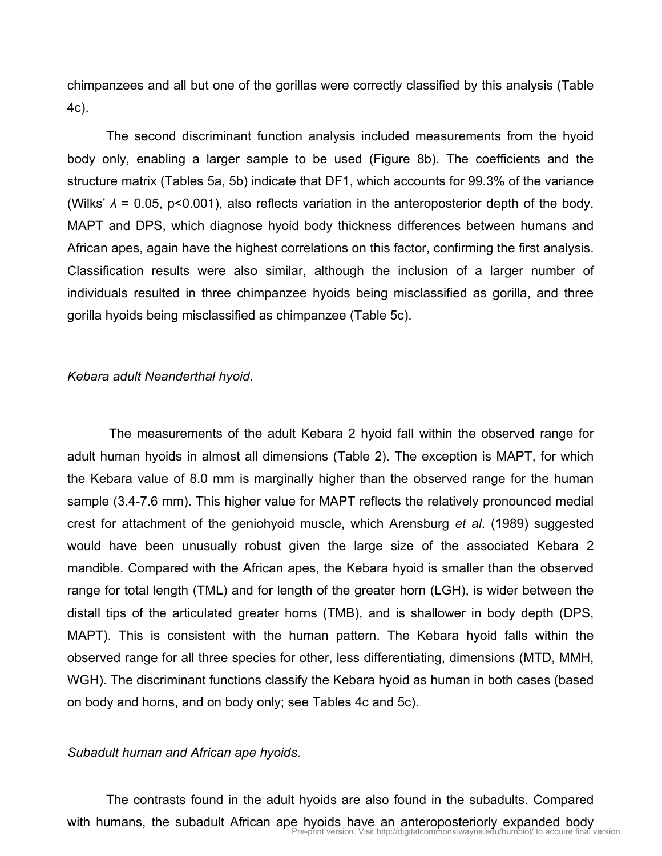chimpanzees and all but one of the gorillas were correctly classified by this analysis (Table 4c).

The second discriminant function analysis included measurements from the hyoid body only, enabling a larger sample to be used (Figure 8b). The coefficients and the structure matrix (Tables 5a, 5b) indicate that DF1, which accounts for 99.3% of the variance (Wilks' *λ* = 0.05, p<0.001), also reflects variation in the anteroposterior depth of the body. MAPT and DPS, which diagnose hyoid body thickness differences between humans and African apes, again have the highest correlations on this factor, confirming the first analysis. Classification results were also similar, although the inclusion of a larger number of individuals resulted in three chimpanzee hyoids being misclassified as gorilla, and three gorilla hyoids being misclassified as chimpanzee (Table 5c).

#### *Kebara adult Neanderthal hyoid*.

The measurements of the adult Kebara 2 hyoid fall within the observed range for adult human hyoids in almost all dimensions (Table 2). The exception is MAPT, for which the Kebara value of 8.0 mm is marginally higher than the observed range for the human sample (3.4-7.6 mm). This higher value for MAPT reflects the relatively pronounced medial crest for attachment of the geniohyoid muscle, which Arensburg *et al*. (1989) suggested would have been unusually robust given the large size of the associated Kebara 2 mandible. Compared with the African apes, the Kebara hyoid is smaller than the observed range for total length (TML) and for length of the greater horn (LGH), is wider between the distall tips of the articulated greater horns (TMB), and is shallower in body depth (DPS, MAPT). This is consistent with the human pattern. The Kebara hyoid falls within the observed range for all three species for other, less differentiating, dimensions (MTD, MMH, WGH). The discriminant functions classify the Kebara hyoid as human in both cases (based on body and horns, and on body only; see Tables 4c and 5c).

#### *Subadult human and African ape hyoids.*

The contrasts found in the adult hyoids are also found in the subadults. Compared with humans, the subadult African ape hyoids have an anteroposteriorly expanded body<br>Pre-print version. Visit http://digitalcommons.wayne.edu/humbiol/ to acquire final version.

 $14.4$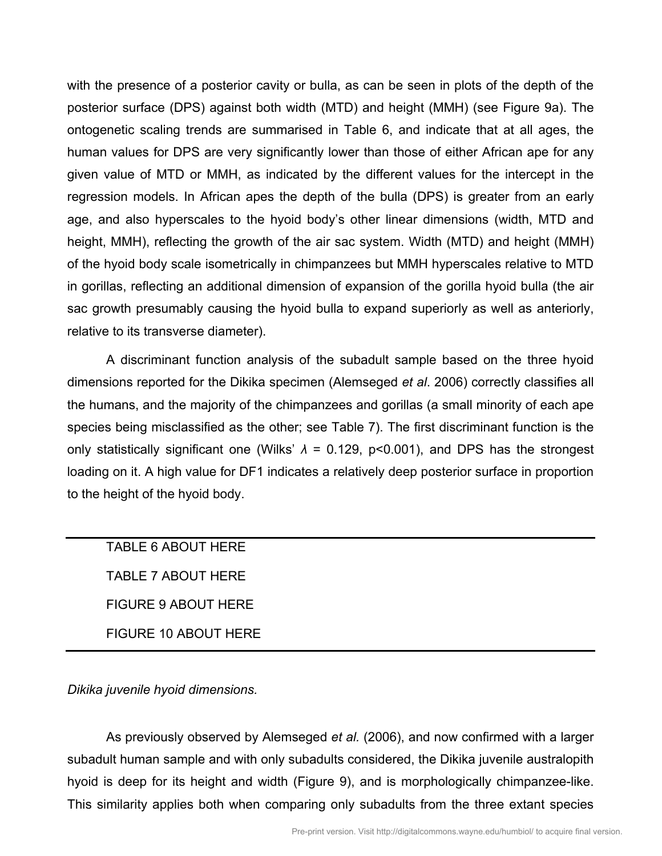with the presence of a posterior cavity or bulla, as can be seen in plots of the depth of the posterior surface (DPS) against both width (MTD) and height (MMH) (see Figure 9a). The ontogenetic scaling trends are summarised in Table 6, and indicate that at all ages, the human values for DPS are very significantly lower than those of either African ape for any given value of MTD or MMH, as indicated by the different values for the intercept in the regression models. In African apes the depth of the bulla (DPS) is greater from an early age, and also hyperscales to the hyoid body's other linear dimensions (width, MTD and height, MMH), reflecting the growth of the air sac system. Width (MTD) and height (MMH) of the hyoid body scale isometrically in chimpanzees but MMH hyperscales relative to MTD in gorillas, reflecting an additional dimension of expansion of the gorilla hyoid bulla (the air sac growth presumably causing the hyoid bulla to expand superiorly as well as anteriorly, relative to its transverse diameter).

A discriminant function analysis of the subadult sample based on the three hyoid dimensions reported for the Dikika specimen (Alemseged *et al*. 2006) correctly classifies all the humans, and the majority of the chimpanzees and gorillas (a small minority of each ape species being misclassified as the other; see Table 7). The first discriminant function is the only statistically significant one (Wilks' *λ* = 0.129, p<0.001), and DPS has the strongest loading on it. A high value for DF1 indicates a relatively deep posterior surface in proportion to the height of the hyoid body.

TABLE 6 ABOUT HERE TABLE 7 ABOUT HERE FIGURE 9 ABOUT HERE FIGURE 10 ABOUT HERE

*Dikika juvenile hyoid dimensions.*

As previously observed by Alemseged *et al.* (2006), and now confirmed with a larger subadult human sample and with only subadults considered, the Dikika juvenile australopith hyoid is deep for its height and width (Figure 9), and is morphologically chimpanzee-like. This similarity applies both when comparing only subadults from the three extant species

 $\cdot$   $-$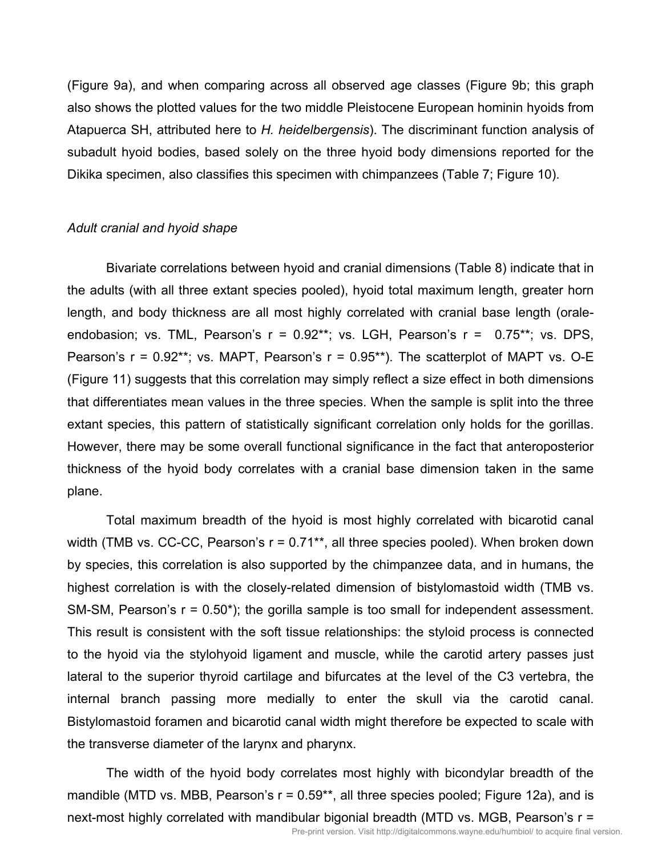(Figure 9a), and when comparing across all observed age classes (Figure 9b; this graph also shows the plotted values for the two middle Pleistocene European hominin hyoids from Atapuerca SH, attributed here to *H. heidelbergensis*). The discriminant function analysis of subadult hyoid bodies, based solely on the three hyoid body dimensions reported for the Dikika specimen, also classifies this specimen with chimpanzees (Table 7; Figure 10).

#### *Adult cranial and hyoid shape*

Bivariate correlations between hyoid and cranial dimensions (Table 8) indicate that in the adults (with all three extant species pooled), hyoid total maximum length, greater horn length, and body thickness are all most highly correlated with cranial base length (oraleendobasion; vs. TML, Pearson's  $r = 0.92**$ ; vs. LGH, Pearson's  $r = 0.75**$ ; vs. DPS, Pearson's  $r = 0.92**$ ; vs. MAPT, Pearson's  $r = 0.95**$ ). The scatterplot of MAPT vs. O-E (Figure 11) suggests that this correlation may simply reflect a size effect in both dimensions that differentiates mean values in the three species. When the sample is split into the three extant species, this pattern of statistically significant correlation only holds for the gorillas. However, there may be some overall functional significance in the fact that anteroposterior thickness of the hyoid body correlates with a cranial base dimension taken in the same plane.

Total maximum breadth of the hyoid is most highly correlated with bicarotid canal width (TMB vs. CC-CC, Pearson's  $r = 0.71**$ , all three species pooled). When broken down by species, this correlation is also supported by the chimpanzee data, and in humans, the highest correlation is with the closely-related dimension of bistylomastoid width (TMB vs. SM-SM, Pearson's r = 0.50\*); the gorilla sample is too small for independent assessment. This result is consistent with the soft tissue relationships: the styloid process is connected to the hyoid via the stylohyoid ligament and muscle, while the carotid artery passes just lateral to the superior thyroid cartilage and bifurcates at the level of the C3 vertebra, the internal branch passing more medially to enter the skull via the carotid canal. Bistylomastoid foramen and bicarotid canal width might therefore be expected to scale with the transverse diameter of the larynx and pharynx.

The width of the hyoid body correlates most highly with bicondylar breadth of the mandible (MTD vs. MBB, Pearson's  $r = 0.59**$ , all three species pooled; Figure 12a), and is next-most highly correlated with mandibular bigonial breadth (MTD vs. MGB, Pearson's r = Pre-print version. Visit http://digitalcommons.wayne.edu/humbiol/ to acquire final version.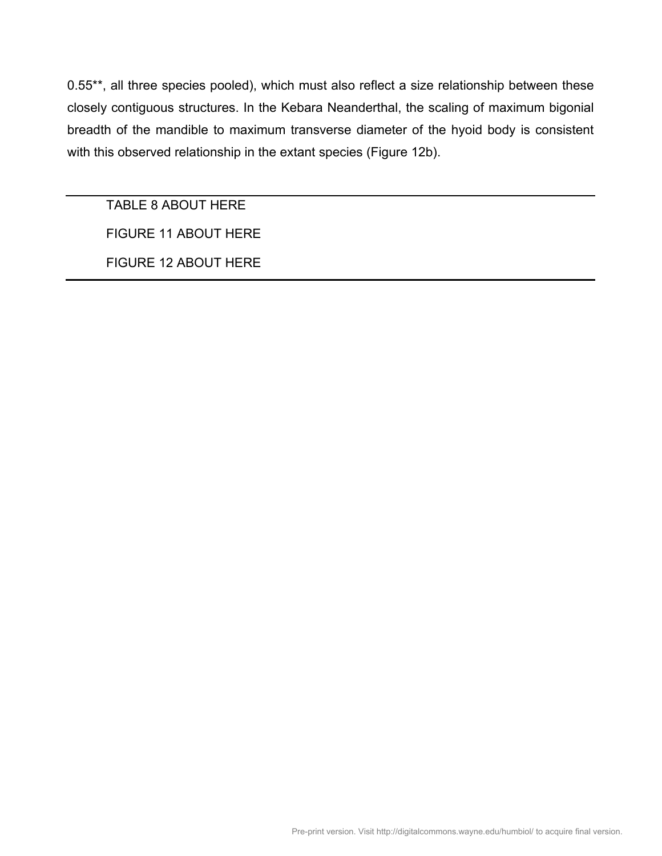0.55\*\*, all three species pooled), which must also reflect a size relationship between these closely contiguous structures. In the Kebara Neanderthal, the scaling of maximum bigonial breadth of the mandible to maximum transverse diameter of the hyoid body is consistent with this observed relationship in the extant species (Figure 12b).

TABLE 8 ABOUT HERE FIGURE 11 ABOUT HERE FIGURE 12 ABOUT HERE

17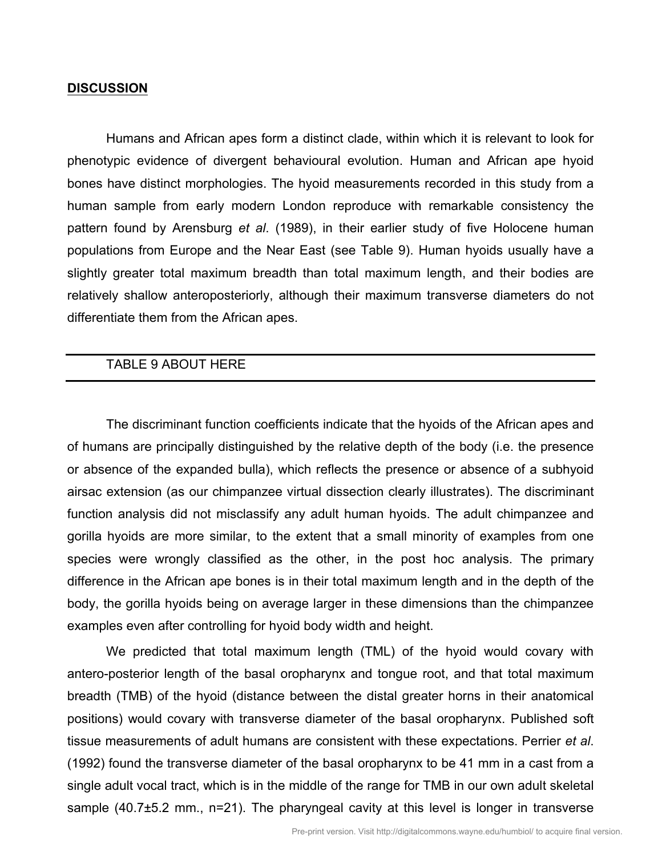#### **DISCUSSION**

Humans and African apes form a distinct clade, within which it is relevant to look for phenotypic evidence of divergent behavioural evolution. Human and African ape hyoid bones have distinct morphologies. The hyoid measurements recorded in this study from a human sample from early modern London reproduce with remarkable consistency the pattern found by Arensburg *et al*. (1989), in their earlier study of five Holocene human populations from Europe and the Near East (see Table 9). Human hyoids usually have a slightly greater total maximum breadth than total maximum length, and their bodies are relatively shallow anteroposteriorly, although their maximum transverse diameters do not differentiate them from the African apes.

### TABLE 9 ABOUT HERE

The discriminant function coefficients indicate that the hyoids of the African apes and of humans are principally distinguished by the relative depth of the body (i.e. the presence or absence of the expanded bulla), which reflects the presence or absence of a subhyoid airsac extension (as our chimpanzee virtual dissection clearly illustrates). The discriminant function analysis did not misclassify any adult human hyoids. The adult chimpanzee and gorilla hyoids are more similar, to the extent that a small minority of examples from one species were wrongly classified as the other, in the post hoc analysis. The primary difference in the African ape bones is in their total maximum length and in the depth of the body, the gorilla hyoids being on average larger in these dimensions than the chimpanzee examples even after controlling for hyoid body width and height.

We predicted that total maximum length (TML) of the hyoid would covary with antero-posterior length of the basal oropharynx and tongue root, and that total maximum breadth (TMB) of the hyoid (distance between the distal greater horns in their anatomical positions) would covary with transverse diameter of the basal oropharynx. Published soft tissue measurements of adult humans are consistent with these expectations. Perrier *et al*. (1992) found the transverse diameter of the basal oropharynx to be 41 mm in a cast from a single adult vocal tract, which is in the middle of the range for TMB in our own adult skeletal sample (40.7±5.2 mm., n=21). The pharyngeal cavity at this level is longer in transverse

 $\overline{\phantom{a}}$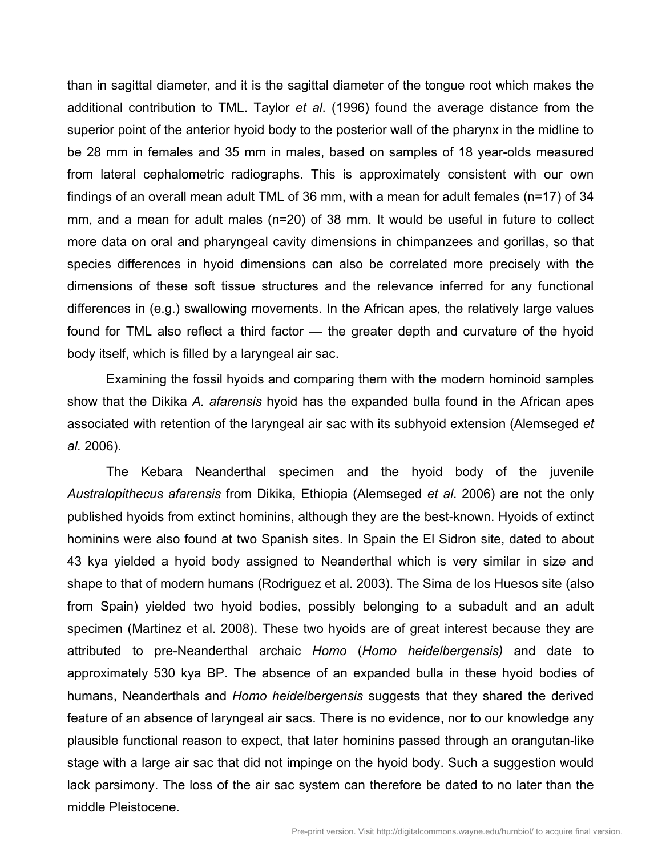than in sagittal diameter, and it is the sagittal diameter of the tongue root which makes the additional contribution to TML. Taylor *et al*. (1996) found the average distance from the superior point of the anterior hyoid body to the posterior wall of the pharynx in the midline to be 28 mm in females and 35 mm in males, based on samples of 18 year-olds measured from lateral cephalometric radiographs. This is approximately consistent with our own findings of an overall mean adult TML of 36 mm, with a mean for adult females (n=17) of 34 mm, and a mean for adult males (n=20) of 38 mm. It would be useful in future to collect more data on oral and pharyngeal cavity dimensions in chimpanzees and gorillas, so that species differences in hyoid dimensions can also be correlated more precisely with the dimensions of these soft tissue structures and the relevance inferred for any functional differences in (e.g.) swallowing movements. In the African apes, the relatively large values found for TML also reflect a third factor — the greater depth and curvature of the hyoid body itself, which is filled by a laryngeal air sac.

Examining the fossil hyoids and comparing them with the modern hominoid samples show that the Dikika *A. afarensis* hyoid has the expanded bulla found in the African apes associated with retention of the laryngeal air sac with its subhyoid extension (Alemseged *et al.* 2006).

The Kebara Neanderthal specimen and the hyoid body of the juvenile *Australopithecus afarensis* from Dikika, Ethiopia (Alemseged *et al*. 2006) are not the only published hyoids from extinct hominins, although they are the best-known. Hyoids of extinct hominins were also found at two Spanish sites. In Spain the El Sidron site, dated to about 43 kya yielded a hyoid body assigned to Neanderthal which is very similar in size and shape to that of modern humans (Rodriguez et al. 2003). The Sima de los Huesos site (also from Spain) yielded two hyoid bodies, possibly belonging to a subadult and an adult specimen (Martinez et al. 2008). These two hyoids are of great interest because they are attributed to pre-Neanderthal archaic *Homo* (*Homo heidelbergensis)* and date to approximately 530 kya BP. The absence of an expanded bulla in these hyoid bodies of humans, Neanderthals and *Homo heidelbergensis* suggests that they shared the derived feature of an absence of laryngeal air sacs. There is no evidence, nor to our knowledge any plausible functional reason to expect, that later hominins passed through an orangutan-like stage with a large air sac that did not impinge on the hyoid body. Such a suggestion would lack parsimony. The loss of the air sac system can therefore be dated to no later than the middle Pleistocene.

 $\overline{\phantom{0}}$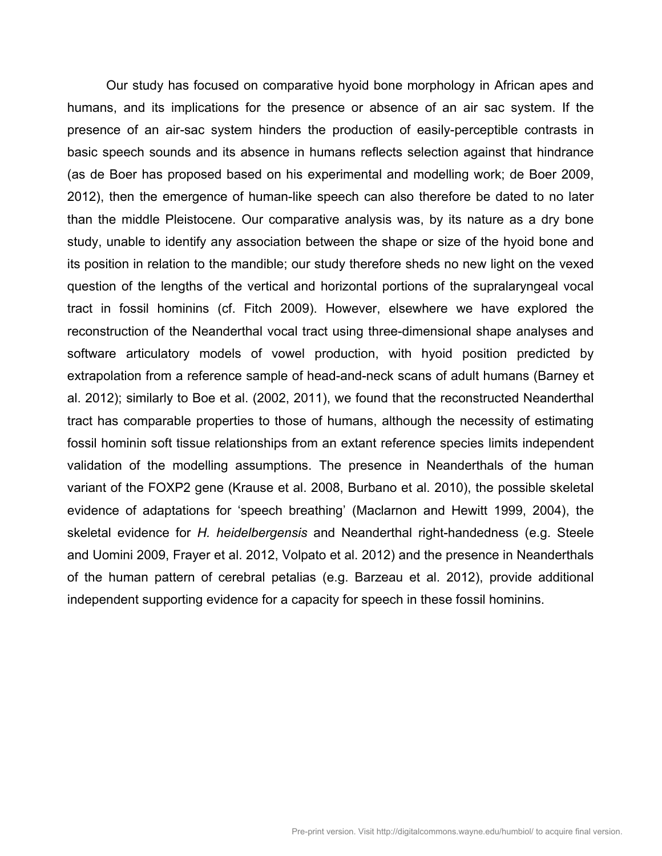Our study has focused on comparative hyoid bone morphology in African apes and humans, and its implications for the presence or absence of an air sac system. If the presence of an air-sac system hinders the production of easily-perceptible contrasts in basic speech sounds and its absence in humans reflects selection against that hindrance (as de Boer has proposed based on his experimental and modelling work; de Boer 2009, 2012), then the emergence of human-like speech can also therefore be dated to no later than the middle Pleistocene. Our comparative analysis was, by its nature as a dry bone study, unable to identify any association between the shape or size of the hyoid bone and its position in relation to the mandible; our study therefore sheds no new light on the vexed question of the lengths of the vertical and horizontal portions of the supralaryngeal vocal tract in fossil hominins (cf. Fitch 2009). However, elsewhere we have explored the reconstruction of the Neanderthal vocal tract using three-dimensional shape analyses and software articulatory models of vowel production, with hyoid position predicted by extrapolation from a reference sample of head-and-neck scans of adult humans (Barney et al. 2012); similarly to Boe et al. (2002, 2011), we found that the reconstructed Neanderthal tract has comparable properties to those of humans, although the necessity of estimating fossil hominin soft tissue relationships from an extant reference species limits independent validation of the modelling assumptions. The presence in Neanderthals of the human variant of the FOXP2 gene (Krause et al. 2008, Burbano et al. 2010), the possible skeletal evidence of adaptations for 'speech breathing' (Maclarnon and Hewitt 1999, 2004), the skeletal evidence for *H. heidelbergensis* and Neanderthal right-handedness (e.g. Steele and Uomini 2009, Frayer et al. 2012, Volpato et al. 2012) and the presence in Neanderthals of the human pattern of cerebral petalias (e.g. Barzeau et al. 2012), provide additional independent supporting evidence for a capacity for speech in these fossil hominins.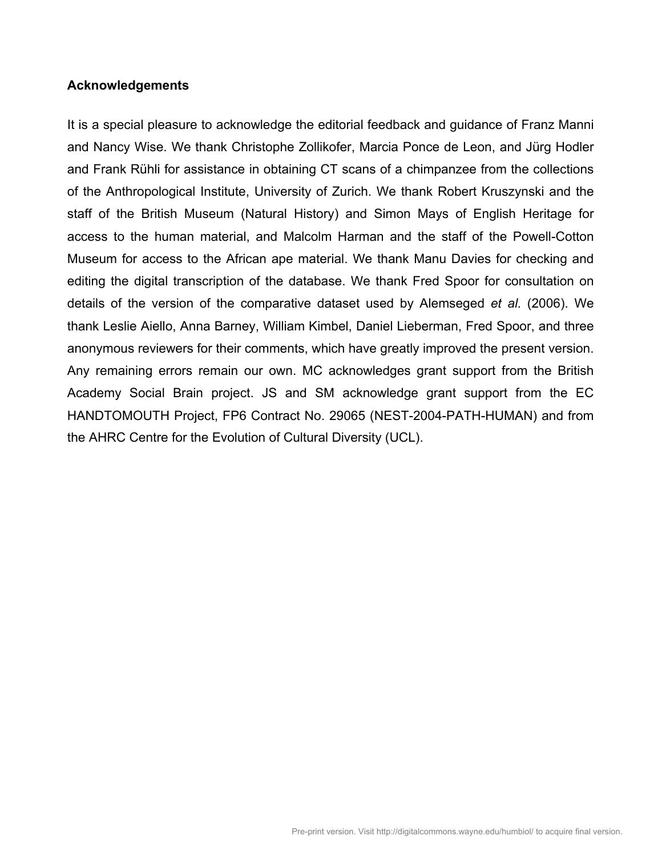#### **Acknowledgements**

It is a special pleasure to acknowledge the editorial feedback and guidance of Franz Manni and Nancy Wise. We thank Christophe Zollikofer, Marcia Ponce de Leon, and Jürg Hodler and Frank Rühli for assistance in obtaining CT scans of a chimpanzee from the collections of the Anthropological Institute, University of Zurich. We thank Robert Kruszynski and the staff of the British Museum (Natural History) and Simon Mays of English Heritage for access to the human material, and Malcolm Harman and the staff of the Powell-Cotton Museum for access to the African ape material. We thank Manu Davies for checking and editing the digital transcription of the database. We thank Fred Spoor for consultation on details of the version of the comparative dataset used by Alemseged *et al.* (2006). We thank Leslie Aiello, Anna Barney, William Kimbel, Daniel Lieberman, Fred Spoor, and three anonymous reviewers for their comments, which have greatly improved the present version. Any remaining errors remain our own. MC acknowledges grant support from the British Academy Social Brain project. JS and SM acknowledge grant support from the EC HANDTOMOUTH Project, FP6 Contract No. 29065 (NEST-2004-PATH-HUMAN) and from the AHRC Centre for the Evolution of Cultural Diversity (UCL).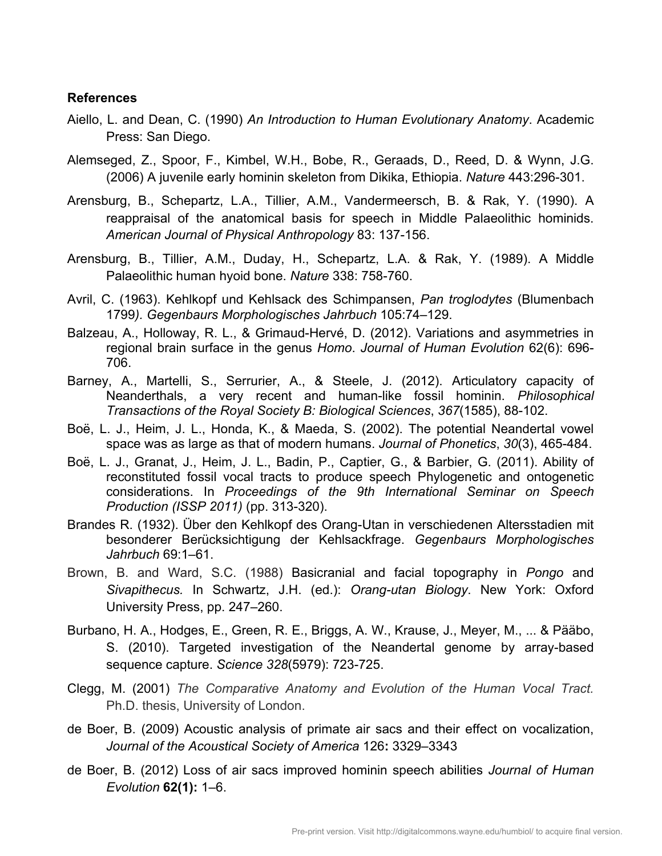#### **References**

- Aiello, L. and Dean, C. (1990) *An Introduction to Human Evolutionary Anatomy*. Academic Press: San Diego.
- Alemseged, Z., Spoor, F., Kimbel, W.H., Bobe, R., Geraads, D., Reed, D. & Wynn, J.G. (2006) A juvenile early hominin skeleton from Dikika, Ethiopia. *Nature* 443:296-301.
- Arensburg, B., Schepartz, L.A., Tillier, A.M., Vandermeersch, B. & Rak, Y. (1990). A reappraisal of the anatomical basis for speech in Middle Palaeolithic hominids. *American Journal of Physical Anthropology* 83: 137-156.
- Arensburg, B., Tillier, A.M., Duday, H., Schepartz, L.A. & Rak, Y. (1989). A Middle Palaeolithic human hyoid bone. *Nature* 338: 758-760.
- Avril, C. (1963). Kehlkopf und Kehlsack des Schimpansen, *Pan troglodytes* (Blumenbach 1799*). Gegenbaurs Morphologisches Jahrbuch* 105:74–129.
- Balzeau, A., Holloway, R. L., & Grimaud-Hervé, D. (2012). Variations and asymmetries in regional brain surface in the genus *Homo*. *Journal of Human Evolution* 62(6): 696- 706.
- Barney, A., Martelli, S., Serrurier, A., & Steele, J. (2012). Articulatory capacity of Neanderthals, a very recent and human-like fossil hominin. *Philosophical Transactions of the Royal Society B: Biological Sciences*, *367*(1585), 88-102.
- Boë, L. J., Heim, J. L., Honda, K., & Maeda, S. (2002). The potential Neandertal vowel space was as large as that of modern humans. *Journal of Phonetics*, *30*(3), 465-484.
- Boë, L. J., Granat, J., Heim, J. L., Badin, P., Captier, G., & Barbier, G. (2011). Ability of reconstituted fossil vocal tracts to produce speech Phylogenetic and ontogenetic considerations. In *Proceedings of the 9th International Seminar on Speech Production (ISSP 2011)* (pp. 313-320).
- Brandes R. (1932). Über den Kehlkopf des Orang-Utan in verschiedenen Altersstadien mit besonderer Berücksichtigung der Kehlsackfrage. *Gegenbaurs Morphologisches Jahrbuch* 69:1–61.
- Brown, B. and Ward, S.C. (1988) Basicranial and facial topography in *Pongo* and *Sivapithecus.* In Schwartz, J.H. (ed.): *Orang-utan Biology*. New York: Oxford University Press, pp. 247–260.
- Burbano, H. A., Hodges, E., Green, R. E., Briggs, A. W., Krause, J., Meyer, M., ... & Pääbo, S. (2010). Targeted investigation of the Neandertal genome by array-based sequence capture. *Science 328*(5979): 723-725.
- Clegg, M. (2001) *The Comparative Anatomy and Evolution of the Human Vocal Tract.* Ph.D. thesis, University of London.
- de Boer, B. (2009) Acoustic analysis of primate air sacs and their effect on vocalization, *Journal of the Acoustical Society of America* 126**:** 3329–3343
- de Boer, B. (2012) Loss of air sacs improved hominin speech abilities *Journal of Human Evolution* **62(1):** 1–6.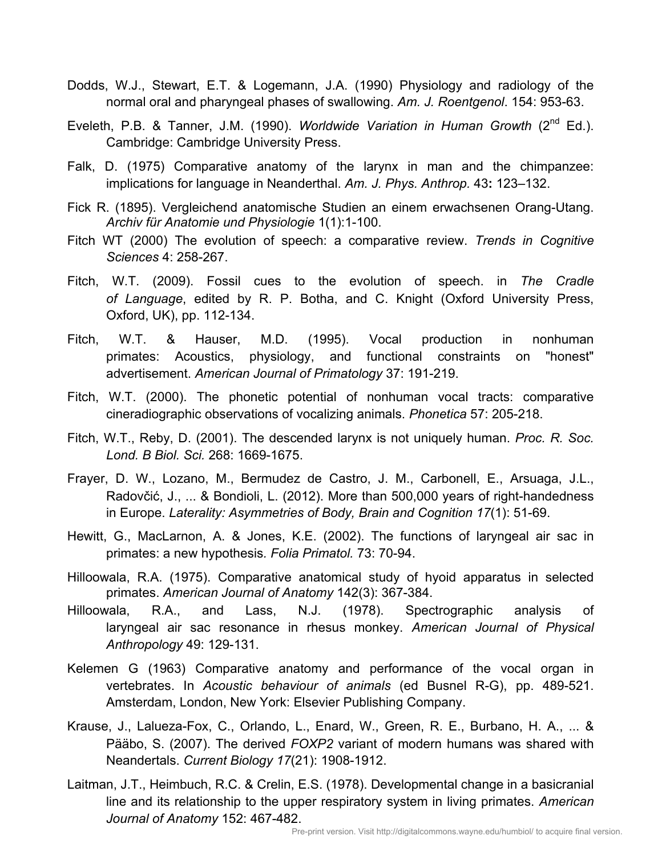- Dodds, W.J., Stewart, E.T. & Logemann, J.A. (1990) Physiology and radiology of the normal oral and pharyngeal phases of swallowing. *Am. J. Roentgenol*. 154: 953-63.
- Eveleth, P.B. & Tanner, J.M. (1990). *Worldwide Variation in Human Growth* (2nd Ed.). Cambridge: Cambridge University Press.
- Falk, D. (1975) Comparative anatomy of the larynx in man and the chimpanzee: implications for language in Neanderthal. *Am. J. Phys. Anthrop.* 43**:** 123–132.
- Fick R. (1895). Vergleichend anatomische Studien an einem erwachsenen Orang-Utang. *Archiv für Anatomie und Physiologie* 1(1):1-100.
- Fitch WT (2000) The evolution of speech: a comparative review. *Trends in Cognitive Sciences* 4: 258-267.
- Fitch, W.T. (2009). Fossil cues to the evolution of speech. in *The Cradle of Language*, edited by R. P. Botha, and C. Knight (Oxford University Press, Oxford, UK), pp. 112-134.
- Fitch, W.T. & Hauser, M.D. (1995). Vocal production in nonhuman primates: Acoustics, physiology, and functional constraints on "honest" advertisement. *American Journal of Primatology* 37: 191-219.
- Fitch, W.T. (2000). The phonetic potential of nonhuman vocal tracts: comparative cineradiographic observations of vocalizing animals. *Phonetica* 57: 205-218.
- Fitch, W.T., Reby, D. (2001). The descended larynx is not uniquely human. *Proc. R. Soc. Lond. B Biol. Sci.* 268: 1669-1675.
- Frayer, D. W., Lozano, M., Bermudez de Castro, J. M., Carbonell, E., Arsuaga, J.L., Radovčić, J., ... & Bondioli, L. (2012). More than 500,000 years of right-handedness in Europe. *Laterality: Asymmetries of Body, Brain and Cognition 17*(1): 51-69.
- Hewitt, G., MacLarnon, A. & Jones, K.E. (2002). The functions of laryngeal air sac in primates: a new hypothesis*. Folia Primatol.* 73: 70-94.
- Hilloowala, R.A. (1975). Comparative anatomical study of hyoid apparatus in selected primates. *American Journal of Anatomy* 142(3): 367-384.
- Hilloowala, R.A., and Lass, N.J. (1978). Spectrographic analysis of laryngeal air sac resonance in rhesus monkey. *American Journal of Physical Anthropology* 49: 129-131.
- Kelemen G (1963) Comparative anatomy and performance of the vocal organ in vertebrates. In *Acoustic behaviour of animals* (ed Busnel R-G), pp. 489-521. Amsterdam, London, New York: Elsevier Publishing Company.
- Krause, J., Lalueza-Fox, C., Orlando, L., Enard, W., Green, R. E., Burbano, H. A., ... & Pääbo, S. (2007). The derived *FOXP2* variant of modern humans was shared with Neandertals. *Current Biology 17*(21): 1908-1912.
- Laitman, J.T., Heimbuch, R.C. & Crelin, E.S. (1978). Developmental change in a basicranial line and its relationship to the upper respiratory system in living primates. *American Journal of Anatomy* 152: 467-482.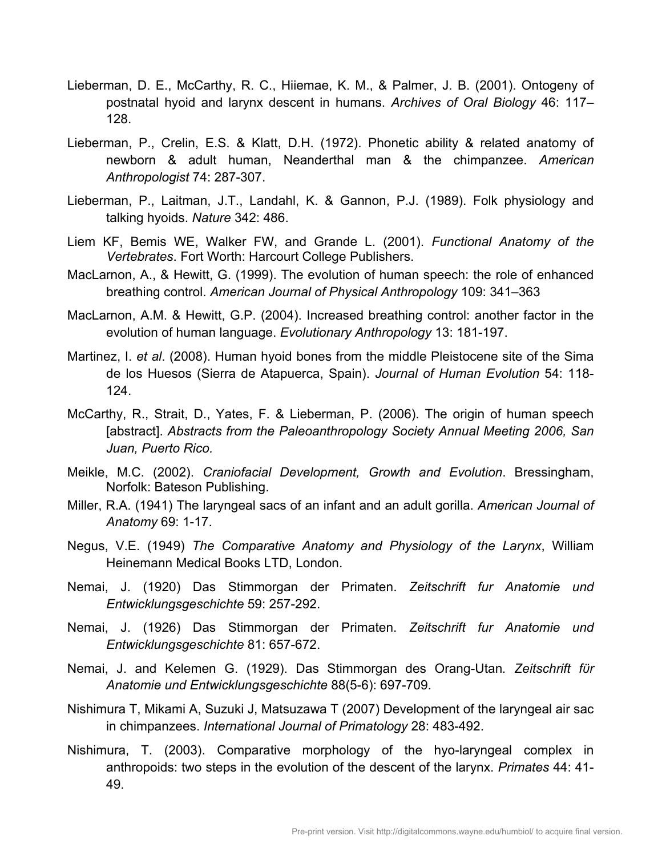- Lieberman, D. E., McCarthy, R. C., Hiiemae, K. M., & Palmer, J. B. (2001). Ontogeny of postnatal hyoid and larynx descent in humans. *Archives of Oral Biology* 46: 117– 128.
- Lieberman, P., Crelin, E.S. & Klatt, D.H. (1972). Phonetic ability & related anatomy of newborn & adult human, Neanderthal man & the chimpanzee. *American Anthropologist* 74: 287-307.
- Lieberman, P., Laitman, J.T., Landahl, K. & Gannon, P.J. (1989). Folk physiology and talking hyoids. *Nature* 342: 486.
- Liem KF, Bemis WE, Walker FW, and Grande L. (2001). *Functional Anatomy of the Vertebrates*. Fort Worth: Harcourt College Publishers.
- MacLarnon, A., & Hewitt, G. (1999). The evolution of human speech: the role of enhanced breathing control. *American Journal of Physical Anthropology* 109: 341–363
- MacLarnon, A.M. & Hewitt, G.P. (2004). Increased breathing control: another factor in the evolution of human language. *Evolutionary Anthropology* 13: 181-197.
- Martinez, I. *et al*. (2008). Human hyoid bones from the middle Pleistocene site of the Sima de los Huesos (Sierra de Atapuerca, Spain). *Journal of Human Evolution* 54: 118- 124.
- McCarthy, R., Strait, D., Yates, F. & Lieberman, P. (2006). The origin of human speech [abstract]. *Abstracts from the Paleoanthropology Society Annual Meeting 2006, San Juan, Puerto Rico.*
- Meikle, M.C. (2002). *Craniofacial Development, Growth and Evolution*. Bressingham, Norfolk: Bateson Publishing.
- Miller, R.A. (1941) The laryngeal sacs of an infant and an adult gorilla. *American Journal of Anatomy* 69: 1-17.
- Negus, V.E. (1949) *The Comparative Anatomy and Physiology of the Larynx*, William Heinemann Medical Books LTD, London.
- Nemai, J. (1920) Das Stimmorgan der Primaten. *Zeitschrift fur Anatomie und Entwicklungsgeschichte* 59: 257-292.
- Nemai, J. (1926) Das Stimmorgan der Primaten. *Zeitschrift fur Anatomie und Entwicklungsgeschichte* 81: 657-672.
- Nemai, J. and Kelemen G. (1929). Das Stimmorgan des Orang-Utan*. Zeitschrift fϋr Anatomie und Entwicklungsgeschichte* 88(5-6): 697-709.
- Nishimura T, Mikami A, Suzuki J, Matsuzawa T (2007) Development of the laryngeal air sac in chimpanzees. *International Journal of Primatology* 28: 483-492.
- Nishimura, T. (2003). Comparative morphology of the hyo-laryngeal complex in anthropoids: two steps in the evolution of the descent of the larynx. *Primates* 44: 41- 49.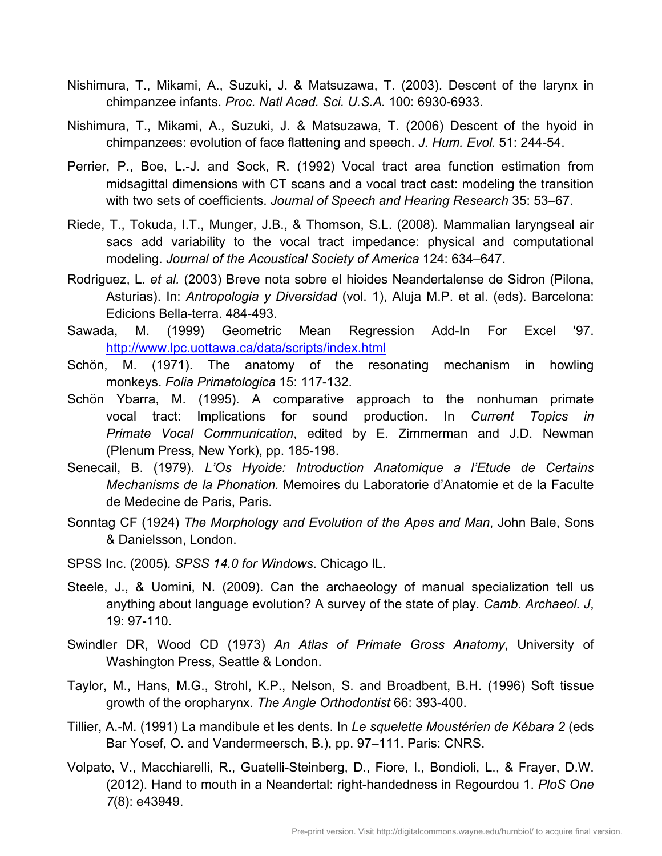- Nishimura, T., Mikami, A., Suzuki, J. & Matsuzawa, T. (2003). Descent of the larynx in chimpanzee infants. *Proc. Natl Acad. Sci. U.S.A.* 100: 6930-6933.
- Nishimura, T., Mikami, A., Suzuki, J. & Matsuzawa, T. (2006) Descent of the hyoid in chimpanzees: evolution of face flattening and speech. *J. Hum. Evol.* 51: 244-54.
- Perrier, P., Boe, L.-J. and Sock, R. (1992) Vocal tract area function estimation from midsagittal dimensions with CT scans and a vocal tract cast: modeling the transition with two sets of coefficients. *Journal of Speech and Hearing Research* 35: 53–67.
- Riede, T., Tokuda, I.T., Munger, J.B., & Thomson, S.L. (2008). Mammalian laryngseal air sacs add variability to the vocal tract impedance: physical and computational modeling. *Journal of the Acoustical Society of America* 124: 634–647.
- Rodriguez, L. *et al.* (2003) Breve nota sobre el hioides Neandertalense de Sidron (Pilona, Asturias). In: *Antropologia y Diversidad* (vol. 1), Aluja M.P. et al. (eds). Barcelona: Edicions Bella-terra. 484-493.
- Sawada, M. (1999) Geometric Mean Regression Add-In For Excel '97. http://www.lpc.uottawa.ca/data/scripts/index.html
- Schön, M. (1971). The anatomy of the resonating mechanism in howling monkeys. *Folia Primatologica* 15: 117-132.
- Schön Ybarra, M. (1995). A comparative approach to the nonhuman primate vocal tract: Implications for sound production. In *Current Topics in Primate Vocal Communication*, edited by E. Zimmerman and J.D. Newman (Plenum Press, New York), pp. 185-198.
- Senecail, B. (1979). *L'Os Hyoide: Introduction Anatomique a l'Etude de Certains Mechanisms de la Phonation.* Memoires du Laboratorie d'Anatomie et de la Faculte de Medecine de Paris, Paris.
- Sonntag CF (1924) *The Morphology and Evolution of the Apes and Man*, John Bale, Sons & Danielsson, London.
- SPSS Inc. (2005)*. SPSS 14.0 for Windows*. Chicago IL.
- Steele, J., & Uomini, N. (2009). Can the archaeology of manual specialization tell us anything about language evolution? A survey of the state of play. *Camb. Archaeol. J*, 19: 97-110.
- Swindler DR, Wood CD (1973) *An Atlas of Primate Gross Anatomy*, University of Washington Press, Seattle & London.
- Taylor, M., Hans, M.G., Strohl, K.P., Nelson, S. and Broadbent, B.H. (1996) Soft tissue growth of the oropharynx. *The Angle Orthodontist* 66: 393-400.
- Tillier, A.-M. (1991) La mandibule et les dents. In *Le squelette Moustérien de Kébara 2* (eds Bar Yosef, O. and Vandermeersch, B.), pp. 97–111. Paris: CNRS.
- Volpato, V., Macchiarelli, R., Guatelli-Steinberg, D., Fiore, I., Bondioli, L., & Frayer, D.W. (2012). Hand to mouth in a Neandertal: right-handedness in Regourdou 1. *PloS One 7*(8): e43949.

 $-$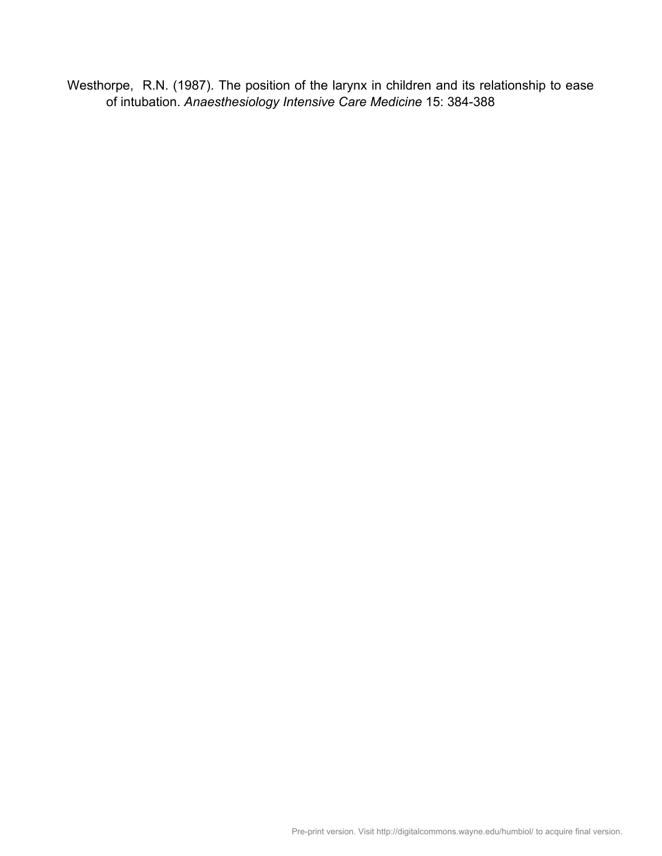Westhorpe, R.N. (1987). The position of the larynx in children and its relationship to ease of intubation. *Anaesthesiology Intensive Care Medicine* 15: 384-388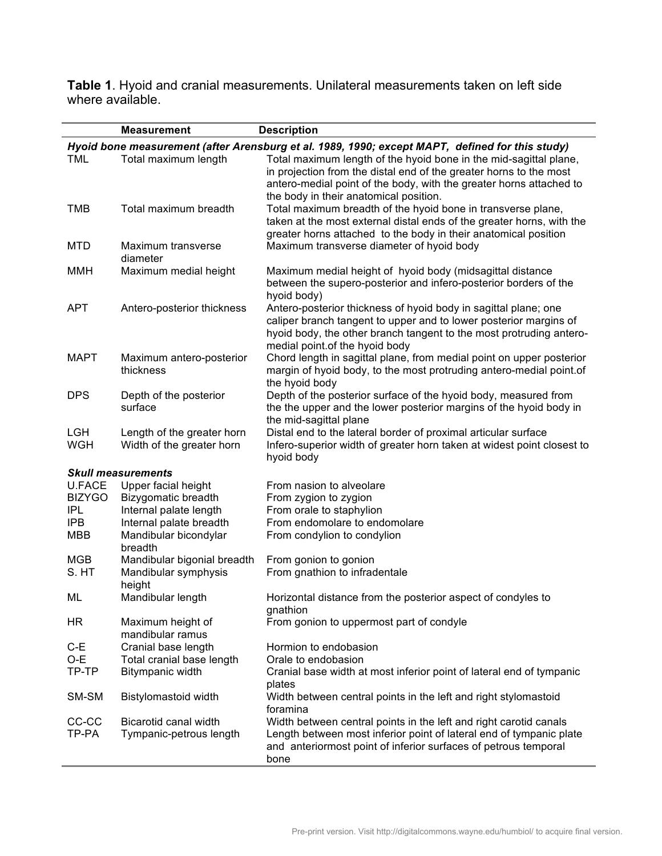**Table 1**. Hyoid and cranial measurements. Unilateral measurements taken on left side where available.

|                          | <b>Measurement</b>                                          | <b>Description</b>                                                                                                                                                                                                                                       |
|--------------------------|-------------------------------------------------------------|----------------------------------------------------------------------------------------------------------------------------------------------------------------------------------------------------------------------------------------------------------|
|                          |                                                             | Hyoid bone measurement (after Arensburg et al. 1989, 1990; except MAPT, defined for this study)                                                                                                                                                          |
| <b>TML</b>               | Total maximum length                                        | Total maximum length of the hyoid bone in the mid-sagittal plane,<br>in projection from the distal end of the greater horns to the most<br>antero-medial point of the body, with the greater horns attached to<br>the body in their anatomical position. |
| <b>TMB</b>               | Total maximum breadth                                       | Total maximum breadth of the hyoid bone in transverse plane,<br>taken at the most external distal ends of the greater horns, with the<br>greater horns attached to the body in their anatomical position                                                 |
| <b>MTD</b>               | Maximum transverse<br>diameter                              | Maximum transverse diameter of hyoid body                                                                                                                                                                                                                |
| MMH                      | Maximum medial height                                       | Maximum medial height of hyoid body (midsagittal distance<br>between the supero-posterior and infero-posterior borders of the<br>hyoid body)                                                                                                             |
| <b>APT</b>               | Antero-posterior thickness                                  | Antero-posterior thickness of hyoid body in sagittal plane; one<br>caliper branch tangent to upper and to lower posterior margins of<br>hyoid body, the other branch tangent to the most protruding antero-<br>medial point of the hyoid body            |
| <b>MAPT</b>              | Maximum antero-posterior<br>thickness                       | Chord length in sagittal plane, from medial point on upper posterior<br>margin of hyoid body, to the most protruding antero-medial point.of<br>the hyoid body                                                                                            |
| <b>DPS</b>               | Depth of the posterior<br>surface                           | Depth of the posterior surface of the hyoid body, measured from<br>the the upper and the lower posterior margins of the hyoid body in<br>the mid-sagittal plane                                                                                          |
| <b>LGH</b><br><b>WGH</b> | Length of the greater horn<br>Width of the greater horn     | Distal end to the lateral border of proximal articular surface<br>Infero-superior width of greater horn taken at widest point closest to<br>hyoid body                                                                                                   |
|                          | <b>Skull measurements</b>                                   |                                                                                                                                                                                                                                                          |
| <b>U.FACE</b>            | Upper facial height                                         | From nasion to alveolare                                                                                                                                                                                                                                 |
| <b>BIZYGO</b>            | Bizygomatic breadth                                         | From zygion to zygion                                                                                                                                                                                                                                    |
| <b>IPL</b>               | Internal palate length                                      | From orale to staphylion                                                                                                                                                                                                                                 |
| IPB<br><b>MBB</b>        | Internal palate breadth<br>Mandibular bicondylar<br>breadth | From endomolare to endomolare<br>From condylion to condylion                                                                                                                                                                                             |
| <b>MGB</b>               | Mandibular bigonial breadth                                 | From gonion to gonion                                                                                                                                                                                                                                    |
| S. HT                    | Mandibular symphysis<br>height                              | From gnathion to infradentale                                                                                                                                                                                                                            |
| ML                       | Mandibular length                                           | Horizontal distance from the posterior aspect of condyles to<br>gnathion                                                                                                                                                                                 |
| <b>HR</b>                | Maximum height of<br>mandibular ramus                       | From gonion to uppermost part of condyle                                                                                                                                                                                                                 |
| $C-E$                    | Cranial base length                                         | Hormion to endobasion                                                                                                                                                                                                                                    |
| O-E                      | Total cranial base length                                   | Orale to endobasion                                                                                                                                                                                                                                      |
| TP-TP                    | Bitympanic width                                            | Cranial base width at most inferior point of lateral end of tympanic<br>plates                                                                                                                                                                           |
| SM-SM                    | Bistylomastoid width                                        | Width between central points in the left and right stylomastoid<br>foramina                                                                                                                                                                              |
| CC-CC<br>TP-PA           | Bicarotid canal width<br>Tympanic-petrous length            | Width between central points in the left and right carotid canals<br>Length between most inferior point of lateral end of tympanic plate<br>and anteriormost point of inferior surfaces of petrous temporal<br>bone                                      |

 $-$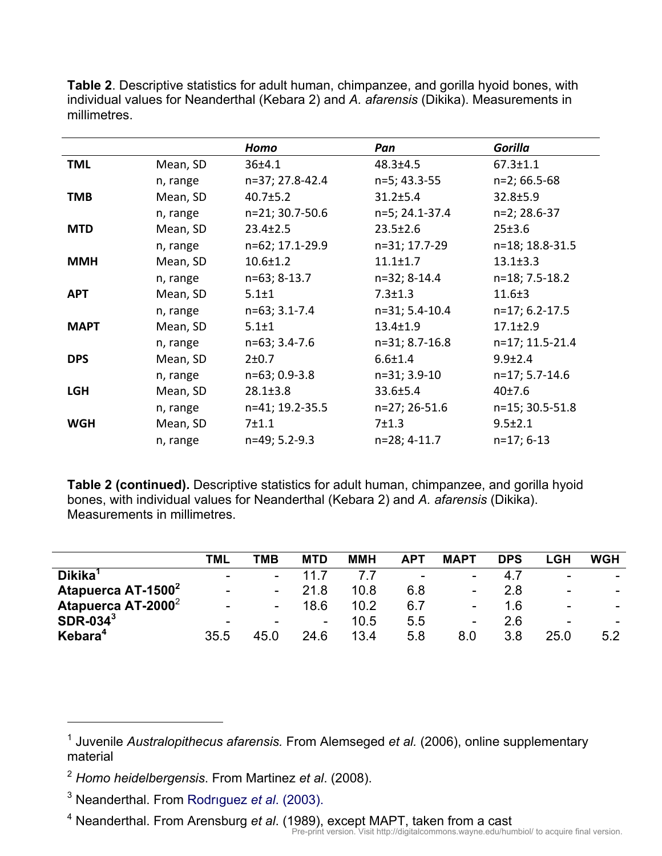|             |          | Homo            | Pan            | <b>Gorilla</b>  |
|-------------|----------|-----------------|----------------|-----------------|
| <b>TML</b>  | Mean, SD | $36 + 4.1$      | $48.3 \pm 4.5$ | $67.3 \pm 1.1$  |
|             | n, range | n=37; 27.8-42.4 | n=5; 43.3-55   | $n=2; 66.5-68$  |
| <b>TMB</b>  | Mean, SD | $40.7 \pm 5.2$  | $31.2 \pm 5.4$ | $32.8 \pm 5.9$  |
|             | n, range | n=21; 30.7-50.6 | n=5; 24.1-37.4 | n=2; 28.6-37    |
| <b>MTD</b>  | Mean, SD | $23.4 \pm 2.5$  | $23.5 \pm 2.6$ | 25±3.6          |
|             | n, range | n=62; 17.1-29.9 | n=31; 17.7-29  | n=18; 18.8-31.5 |
| <b>MMH</b>  | Mean, SD | $10.6 \pm 1.2$  | $11.1 \pm 1.7$ | $13.1 \pm 3.3$  |
|             | n, range | n=63; 8-13.7    | n=32; 8-14.4   | n=18; 7.5-18.2  |
| <b>APT</b>  | Mean, SD | $5.1 \pm 1$     | $7.3 \pm 1.3$  | $11.6 \pm 3$    |
|             | n, range | n=63; 3.1-7.4   | n=31; 5.4-10.4 | n=17; 6.2-17.5  |
| <b>MAPT</b> | Mean, SD | $5.1 \pm 1$     | $13.4 \pm 1.9$ | $17.1 \pm 2.9$  |
|             | n, range | n=63; 3.4-7.6   | n=31; 8.7-16.8 | n=17; 11.5-21.4 |
| <b>DPS</b>  | Mean, SD | $2 + 0.7$       | $6.6 \pm 1.4$  | $9.9 \pm 2.4$   |
|             | n, range | n=63; 0.9-3.8   | n=31; 3.9-10   | n=17; 5.7-14.6  |
| <b>LGH</b>  | Mean, SD | $28.1 \pm 3.8$  | $33.6 \pm 5.4$ | 40±7.6          |
|             | n, range | n=41; 19.2-35.5 | n=27; 26-51.6  | n=15; 30.5-51.8 |
| <b>WGH</b>  | Mean, SD | 7±1.1           | 7±1.3          | $9.5 \pm 2.1$   |
|             | n, range | n=49; 5.2-9.3   | n=28; 4-11.7   | $n=17; 6-13$    |

**Table 2**. Descriptive statistics for adult human, chimpanzee, and gorilla hyoid bones, with individual values for Neanderthal (Kebara 2) and *A. afarensis* (Dikika). Measurements in millimetres.

**Table 2 (continued).** Descriptive statistics for adult human, chimpanzee, and gorilla hyoid bones, with individual values for Neanderthal (Kebara 2) and *A. afarensis* (Dikika). Measurements in millimetres.

|                                | <b>TML</b>               | тмв  | <b>MTD</b>               | <b>MMH</b> | <b>APT</b>               | <b>MAPT</b>              | <b>DPS</b> | -GH                      | WGH                      |
|--------------------------------|--------------------------|------|--------------------------|------------|--------------------------|--------------------------|------------|--------------------------|--------------------------|
| Dikika <sup>1</sup>            | $\overline{\phantom{0}}$ |      | 11 7                     |            | $\overline{\phantom{a}}$ |                          |            | $\overline{\phantom{a}}$ |                          |
| Atapuerca AT-1500 <sup>2</sup> | $\overline{\phantom{a}}$ |      | 21.8                     | 10.8       | 6.8                      |                          | 2.8        | ۰.                       | $\overline{\phantom{a}}$ |
| Atapuerca AT-2000 <sup>2</sup> | $\blacksquare$           | -    | 18.6                     | 10.2       | 6.7                      | $\overline{\phantom{0}}$ | 1.6        | $\overline{\phantom{a}}$ | $\overline{\phantom{0}}$ |
| $SDR-034^3$                    | $\overline{\phantom{0}}$ |      | $\overline{\phantom{a}}$ | 10.5       | 5.5                      | $\overline{\phantom{a}}$ | 2.6        | -                        |                          |
| Kebara <sup>4</sup>            | 35.5                     | 45.0 | 24.6                     | 13.4       | 5.8                      | 8.0                      | 3.8        | 25.0                     | 5.2                      |

 $\overline{a}$ 

<sup>1</sup> Juvenile *Australopithecus afarensis.* From Alemseged *et al.* (2006), online supplementary material

<sup>2</sup> *Homo heidelbergensis*. From Martinez *et al*. (2008).

<sup>3</sup> Neanderthal. From Rodrıguez *et al*. (2003).

<sup>4</sup> Neanderthal. From Arensburg *et al*. (1989), except MAPT, taken from a cast

Pre-print version. Visit http://digitalcommons.wayne.edu/humbiol/ to acquire final version.